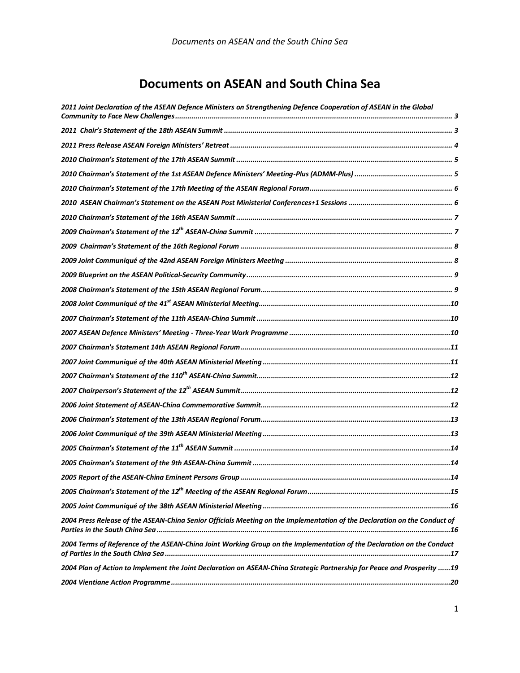# **Documents on ASEAN and South China Sea**

| 2011 Joint Declaration of the ASEAN Defence Ministers on Strengthening Defence Cooperation of ASEAN in the Global         |
|---------------------------------------------------------------------------------------------------------------------------|
|                                                                                                                           |
|                                                                                                                           |
|                                                                                                                           |
|                                                                                                                           |
|                                                                                                                           |
|                                                                                                                           |
|                                                                                                                           |
|                                                                                                                           |
|                                                                                                                           |
|                                                                                                                           |
|                                                                                                                           |
|                                                                                                                           |
|                                                                                                                           |
|                                                                                                                           |
|                                                                                                                           |
|                                                                                                                           |
|                                                                                                                           |
|                                                                                                                           |
|                                                                                                                           |
|                                                                                                                           |
|                                                                                                                           |
|                                                                                                                           |
|                                                                                                                           |
|                                                                                                                           |
|                                                                                                                           |
|                                                                                                                           |
|                                                                                                                           |
| 2004 Press Release of the ASEAN-China Senior Officials Meeting on the Implementation of the Declaration on the Conduct of |
| 2004 Terms of Reference of the ASEAN-China Joint Working Group on the Implementation of the Declaration on the Conduct    |
| 2004 Plan of Action to Implement the Joint Declaration on ASEAN-China Strategic Partnership for Peace and Prosperity 19   |
|                                                                                                                           |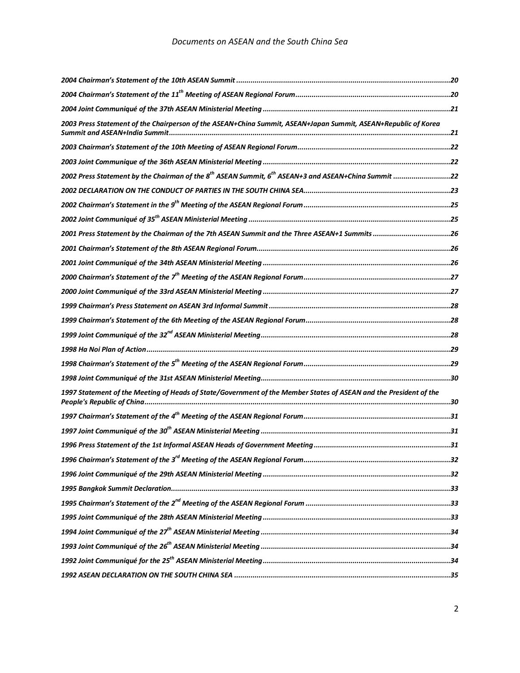| 2003 Press Statement of the Chairperson of the ASEAN+China Summit, ASEAN+Japan Summit, ASEAN+Republic of Korea              |  |
|-----------------------------------------------------------------------------------------------------------------------------|--|
|                                                                                                                             |  |
|                                                                                                                             |  |
| 2002 Press Statement by the Chairman of the 8 <sup>th</sup> ASEAN Summit, 6 <sup>th</sup> ASEAN+3 and ASEAN+China Summit 22 |  |
|                                                                                                                             |  |
|                                                                                                                             |  |
|                                                                                                                             |  |
| 2001 Press Statement by the Chairman of the 7th ASEAN Summit and the Three ASEAN+1 Summits 26                               |  |
|                                                                                                                             |  |
|                                                                                                                             |  |
|                                                                                                                             |  |
|                                                                                                                             |  |
|                                                                                                                             |  |
|                                                                                                                             |  |
|                                                                                                                             |  |
|                                                                                                                             |  |
|                                                                                                                             |  |
|                                                                                                                             |  |
| 1997 Statement of the Meeting of Heads of State/Government of the Member States of ASEAN and the President of the           |  |
|                                                                                                                             |  |
|                                                                                                                             |  |
|                                                                                                                             |  |
|                                                                                                                             |  |
|                                                                                                                             |  |
|                                                                                                                             |  |
|                                                                                                                             |  |
|                                                                                                                             |  |
|                                                                                                                             |  |
|                                                                                                                             |  |
|                                                                                                                             |  |
|                                                                                                                             |  |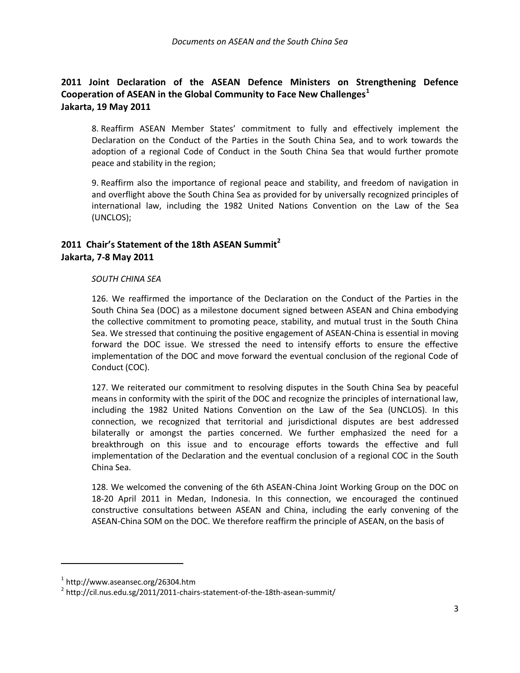### <span id="page-2-0"></span>**2011 Joint Declaration of the ASEAN Defence Ministers on Strengthening Defence Cooperation of ASEAN in the Global Community to Face New Challenges<sup>1</sup> Jakarta, 19 May 2011**

8. Reaffirm ASEAN Member States' commitment to fully and effectively implement the Declaration on the Conduct of the Parties in the South China Sea, and to work towards the adoption of a regional Code of Conduct in the South China Sea that would further promote peace and stability in the region;

9. Reaffirm also the importance of regional peace and stability, and freedom of navigation in and overflight above the South China Sea as provided for by universally recognized principles of international law, including the 1982 United Nations Convention on the Law of the Sea (UNCLOS);

## <span id="page-2-1"></span>**2011 Chair's Statement of the 18th ASEAN Summit<sup>2</sup> Jakarta, 7-8 May 2011**

#### *SOUTH CHINA SEA*

126. We reaffirmed the importance of the Declaration on the Conduct of the Parties in the South China Sea (DOC) as a milestone document signed between ASEAN and China embodying the collective commitment to promoting peace, stability, and mutual trust in the South China Sea. We stressed that continuing the positive engagement of ASEAN-China is essential in moving forward the DOC issue. We stressed the need to intensify efforts to ensure the effective implementation of the DOC and move forward the eventual conclusion of the regional Code of Conduct (COC).

127. We reiterated our commitment to resolving disputes in the South China Sea by peaceful means in conformity with the spirit of the DOC and recognize the principles of international law, including the 1982 United Nations Convention on the Law of the Sea (UNCLOS). In this connection, we recognized that territorial and jurisdictional disputes are best addressed bilaterally or amongst the parties concerned. We further emphasized the need for a breakthrough on this issue and to encourage efforts towards the effective and full implementation of the Declaration and the eventual conclusion of a regional COC in the South China Sea.

128. We welcomed the convening of the 6th ASEAN-China Joint Working Group on the DOC on 18-20 April 2011 in Medan, Indonesia. In this connection, we encouraged the continued constructive consultations between ASEAN and China, including the early convening of the ASEAN-China SOM on the DOC. We therefore reaffirm the principle of ASEAN, on the basis of

<sup>1</sup> http://www.aseansec.org/26304.htm

 $^2$  http://cil.nus.edu.sg/2011/2011-chairs-statement-of-the-18th-asean-summit/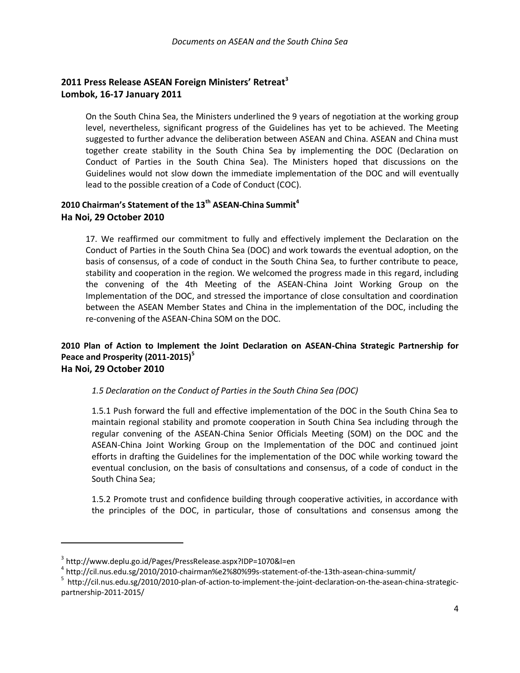### <span id="page-3-0"></span>**2011 Press Release ASEAN Foreign Ministers' Retreat<sup>3</sup> Lombok, 16-17 January 2011**

On the South China Sea, the Ministers underlined the 9 years of negotiation at the working group level, nevertheless, significant progress of the Guidelines has yet to be achieved. The Meeting suggested to further advance the deliberation between ASEAN and China. ASEAN and China must together create stability in the South China Sea by implementing the DOC (Declaration on Conduct of Parties in the South China Sea). The Ministers hoped that discussions on the Guidelines would not slow down the immediate implementation of the DOC and will eventually lead to the possible creation of a Code of Conduct (COC).

### **2010 Chairman's Statement of the 13th ASEAN-China Summit<sup>4</sup> Ha Noi, 29 October 2010**

17. We reaffirmed our commitment to fully and effectively implement the Declaration on the Conduct of Parties in the South China Sea (DOC) and work towards the eventual adoption, on the basis of consensus, of a code of conduct in the South China Sea, to further contribute to peace, stability and cooperation in the region. We welcomed the progress made in this regard, including the convening of the 4th Meeting of the ASEAN-China Joint Working Group on the Implementation of the DOC, and stressed the importance of close consultation and coordination between the ASEAN Member States and China in the implementation of the DOC, including the re-convening of the ASEAN-China SOM on the DOC.

#### **2010 Plan of Action to Implement the Joint Declaration on ASEAN-China Strategic Partnership for Peace and Prosperity (2011-2015) 5 Ha Noi, 29 October 2010**

### *1.5 Declaration on the Conduct of Parties in the South China Sea (DOC)*

1.5.1 Push forward the full and effective implementation of the DOC in the South China Sea to maintain regional stability and promote cooperation in South China Sea including through the regular convening of the ASEAN-China Senior Officials Meeting (SOM) on the DOC and the ASEAN-China Joint Working Group on the Implementation of the DOC and continued joint efforts in drafting the Guidelines for the implementation of the DOC while working toward the eventual conclusion, on the basis of consultations and consensus, of a code of conduct in the South China Sea;

1.5.2 Promote trust and confidence building through cooperative activities, in accordance with the principles of the DOC, in particular, those of consultations and consensus among the

<sup>3</sup> http://www.deplu.go.id/Pages/PressRelease.aspx?IDP=1070&l=en

<sup>4</sup> http://cil.nus.edu.sg/2010/2010-chairman%e2%80%99s-statement-of-the-13th-asean-china-summit/

<sup>&</sup>lt;sup>5</sup> http://cil.nus.edu.sg/2010/2010-plan-of-action-to-implement-the-joint-declaration-on-the-asean-china-strategicpartnership-2011-2015/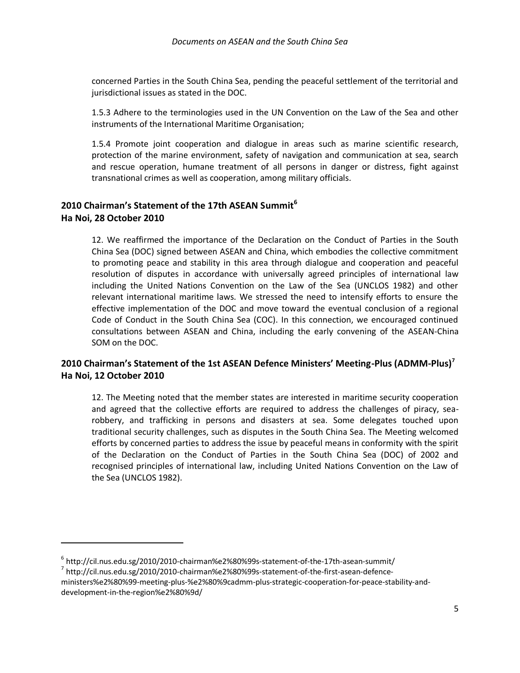concerned Parties in the South China Sea, pending the peaceful settlement of the territorial and jurisdictional issues as stated in the DOC.

1.5.3 Adhere to the terminologies used in the UN Convention on the Law of the Sea and other instruments of the International Maritime Organisation;

1.5.4 Promote joint cooperation and dialogue in areas such as marine scientific research, protection of the marine environment, safety of navigation and communication at sea, search and rescue operation, humane treatment of all persons in danger or distress, fight against transnational crimes as well as cooperation, among military officials.

## <span id="page-4-0"></span>**2010 Chairman's Statement of the 17th ASEAN Summit<sup>6</sup> Ha Noi, 28 October 2010**

12. We reaffirmed the importance of the Declaration on the Conduct of Parties in the South China Sea (DOC) signed between ASEAN and China, which embodies the collective commitment to promoting peace and stability in this area through dialogue and cooperation and peaceful resolution of disputes in accordance with universally agreed principles of international law including the United Nations Convention on the Law of the Sea (UNCLOS 1982) and other relevant international maritime laws. We stressed the need to intensify efforts to ensure the effective implementation of the DOC and move toward the eventual conclusion of a regional Code of Conduct in the South China Sea (COC). In this connection, we encouraged continued consultations between ASEAN and China, including the early convening of the ASEAN-China SOM on the DOC.

### <span id="page-4-1"></span>**2010 Chairman's Statement of the 1st ASEAN Defence Ministers' Meeting-Plus (ADMM-Plus)<sup>7</sup> Ha Noi, 12 October 2010**

12. The Meeting noted that the member states are interested in maritime security cooperation and agreed that the collective efforts are required to address the challenges of piracy, searobbery, and trafficking in persons and disasters at sea. Some delegates touched upon traditional security challenges, such as disputes in the South China Sea. The Meeting welcomed efforts by concerned parties to address the issue by peaceful means in conformity with the spirit of the Declaration on the Conduct of Parties in the South China Sea (DOC) of 2002 and recognised principles of international law, including United Nations Convention on the Law of the Sea (UNCLOS 1982).

 $^6$  http://cil.nus.edu.sg/2010/2010-chairman%e2%80%99s-statement-of-the-17th-asean-summit/

<sup>&</sup>lt;sup>7</sup> http://cil.nus.edu.sg/2010/2010-chairman%e2%80%99s-statement-of-the-first-asean-defence-

ministers%e2%80%99-meeting-plus-%e2%80%9cadmm-plus-strategic-cooperation-for-peace-stability-anddevelopment-in-the-region%e2%80%9d/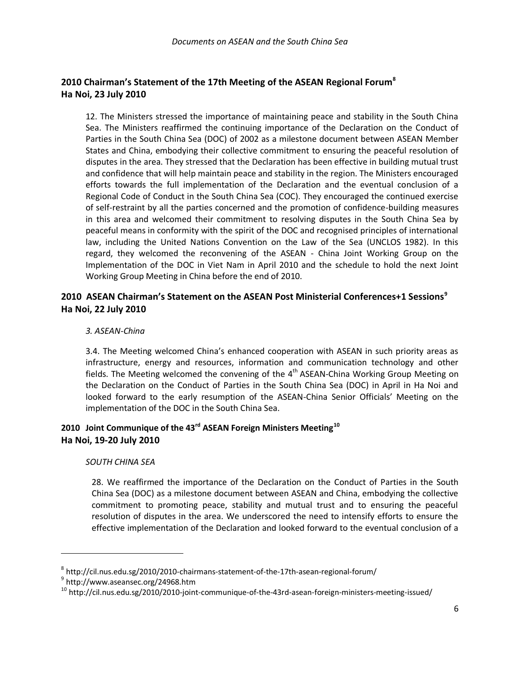### <span id="page-5-0"></span>**2010 Chairman's Statement of the 17th Meeting of the ASEAN Regional Forum<sup>8</sup> Ha Noi, 23 July 2010**

12. The Ministers stressed the importance of maintaining peace and stability in the South China Sea. The Ministers reaffirmed the continuing importance of the Declaration on the Conduct of Parties in the South China Sea (DOC) of 2002 as a milestone document between ASEAN Member States and China, embodying their collective commitment to ensuring the peaceful resolution of disputes in the area. They stressed that the Declaration has been effective in building mutual trust and confidence that will help maintain peace and stability in the region. The Ministers encouraged efforts towards the full implementation of the Declaration and the eventual conclusion of a Regional Code of Conduct in the South China Sea (COC). They encouraged the continued exercise of self-restraint by all the parties concerned and the promotion of confidence-building measures in this area and welcomed their commitment to resolving disputes in the South China Sea by peaceful means in conformity with the spirit of the DOC and recognised principles of international law, including the United Nations Convention on the Law of the Sea (UNCLOS 1982). In this regard, they welcomed the reconvening of the ASEAN - China Joint Working Group on the Implementation of the DOC in Viet Nam in April 2010 and the schedule to hold the next Joint Working Group Meeting in China before the end of 2010.

### <span id="page-5-1"></span>**2010 ASEAN Chairman's Statement on the ASEAN Post Ministerial Conferences+1 Sessions<sup>9</sup> Ha Noi, 22 July 2010**

#### *3. ASEAN-China*

3.4. The Meeting welcomed China's enhanced cooperation with ASEAN in such priority areas as infrastructure, energy and resources, information and communication technology and other fields. The Meeting welcomed the convening of the  $4<sup>th</sup>$  ASEAN-China Working Group Meeting on the Declaration on the Conduct of Parties in the South China Sea (DOC) in April in Ha Noi and looked forward to the early resumption of the ASEAN-China Senior Officials' Meeting on the implementation of the DOC in the South China Sea.

### **2010 Joint Communique of the 43rd ASEAN Foreign Ministers Meeting<sup>10</sup> Ha Noi, 19-20 July 2010**

#### *SOUTH CHINA SEA*

28. We reaffirmed the importance of the Declaration on the Conduct of Parties in the South China Sea (DOC) as a milestone document between ASEAN and China, embodying the collective commitment to promoting peace, stability and mutual trust and to ensuring the peaceful resolution of disputes in the area. We underscored the need to intensify efforts to ensure the effective implementation of the Declaration and looked forward to the eventual conclusion of a

 $^8$  http://cil.nus.edu.sg/2010/2010-chairmans-statement-of-the-17th-asean-regional-forum/

<sup>&</sup>lt;sup>9</sup> http://www.aseansec.org/24968.htm

<sup>10</sup> http://cil.nus.edu.sg/2010/2010-joint-communique-of-the-43rd-asean-foreign-ministers-meeting-issued/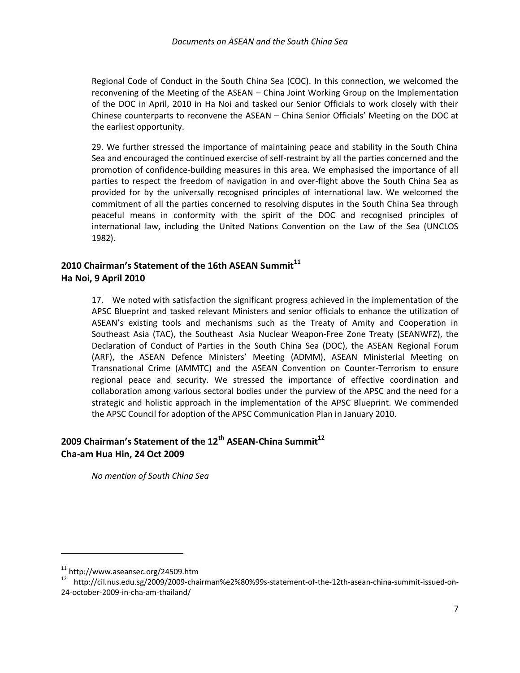Regional Code of Conduct in the South China Sea (COC). In this connection, we welcomed the reconvening of the Meeting of the ASEAN – China Joint Working Group on the Implementation of the DOC in April, 2010 in Ha Noi and tasked our Senior Officials to work closely with their Chinese counterparts to reconvene the ASEAN – China Senior Officials' Meeting on the DOC at the earliest opportunity.

29. We further stressed the importance of maintaining peace and stability in the South China Sea and encouraged the continued exercise of self-restraint by all the parties concerned and the promotion of confidence-building measures in this area. We emphasised the importance of all parties to respect the freedom of navigation in and over-flight above the South China Sea as provided for by the universally recognised principles of international law. We welcomed the commitment of all the parties concerned to resolving disputes in the South China Sea through peaceful means in conformity with the spirit of the DOC and recognised principles of international law, including the United Nations Convention on the Law of the Sea (UNCLOS 1982).

### <span id="page-6-0"></span>**2010 Chairman's Statement of the 16th ASEAN Summit<sup>11</sup> Ha Noi, 9 April 2010**

17. We noted with satisfaction the significant progress achieved in the implementation of the APSC Blueprint and tasked relevant Ministers and senior officials to enhance the utilization of ASEAN's existing tools and mechanisms such as the Treaty of Amity and Cooperation in Southeast Asia (TAC), the Southeast Asia Nuclear Weapon-Free Zone Treaty (SEANWFZ), the Declaration of Conduct of Parties in the South China Sea (DOC), the ASEAN Regional Forum (ARF), the ASEAN Defence Ministers' Meeting (ADMM), ASEAN Ministerial Meeting on Transnational Crime (AMMTC) and the ASEAN Convention on Counter-Terrorism to ensure regional peace and security. We stressed the importance of effective coordination and collaboration among various sectoral bodies under the purview of the APSC and the need for a strategic and holistic approach in the implementation of the APSC Blueprint. We commended the APSC Council for adoption of the APSC Communication Plan in January 2010.

# <span id="page-6-1"></span>**2009 Chairman's Statement of the 12th ASEAN-China Summit<sup>12</sup> Cha-am Hua Hin, 24 Oct 2009**

*No mention of South China Sea*

<sup>11</sup> http://www.aseansec.org/24509.htm

<sup>12</sup> http://cil.nus.edu.sg/2009/2009-chairman%e2%80%99s-statement-of-the-12th-asean-china-summit-issued-on-24-october-2009-in-cha-am-thailand/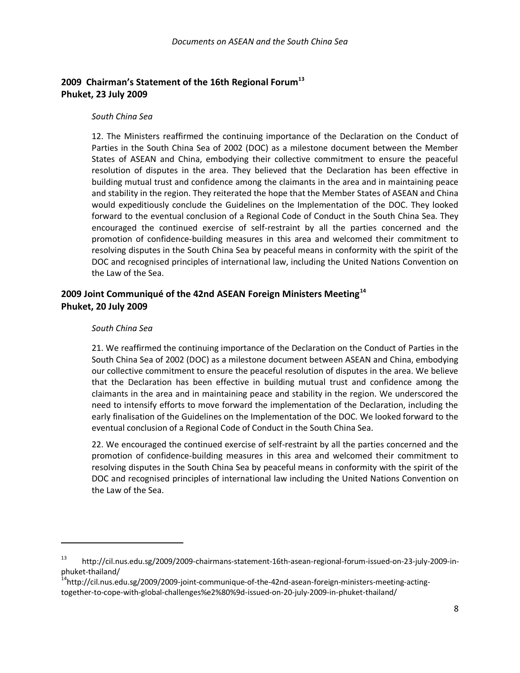### <span id="page-7-0"></span>**2009 Chairman's Statement of the 16th Regional Forum<sup>13</sup> Phuket, 23 July 2009**

#### *South China Sea*

12. The Ministers reaffirmed the continuing importance of the Declaration on the Conduct of Parties in the South China Sea of 2002 (DOC) as a milestone document between the Member States of ASEAN and China, embodying their collective commitment to ensure the peaceful resolution of disputes in the area. They believed that the Declaration has been effective in building mutual trust and confidence among the claimants in the area and in maintaining peace and stability in the region. They reiterated the hope that the Member States of ASEAN and China would expeditiously conclude the Guidelines on the Implementation of the DOC. They looked forward to the eventual conclusion of a Regional Code of Conduct in the South China Sea. They encouraged the continued exercise of self-restraint by all the parties concerned and the promotion of confidence-building measures in this area and welcomed their commitment to resolving disputes in the South China Sea by peaceful means in conformity with the spirit of the DOC and recognised principles of international law, including the United Nations Convention on the Law of the Sea.

### <span id="page-7-1"></span>**2009 Joint Communiqué of the 42nd ASEAN Foreign Ministers Meeting<sup>14</sup> Phuket, 20 July 2009**

#### *South China Sea*

<span id="page-7-2"></span> $\overline{\phantom{a}}$ 

21. We reaffirmed the continuing importance of the Declaration on the Conduct of Parties in the South China Sea of 2002 (DOC) as a milestone document between ASEAN and China, embodying our collective commitment to ensure the peaceful resolution of disputes in the area. We believe that the Declaration has been effective in building mutual trust and confidence among the claimants in the area and in maintaining peace and stability in the region. We underscored the need to intensify efforts to move forward the implementation of the Declaration, including the early finalisation of the Guidelines on the Implementation of the DOC. We looked forward to the eventual conclusion of a Regional Code of Conduct in the South China Sea.

22. We encouraged the continued exercise of self-restraint by all the parties concerned and the promotion of confidence-building measures in this area and welcomed their commitment to resolving disputes in the South China Sea by peaceful means in conformity with the spirit of the DOC and recognised principles of international law including the United Nations Convention on the Law of the Sea.

<sup>13</sup> http://cil.nus.edu.sg/2009/2009-chairmans-statement-16th-asean-regional-forum-issued-on-23-july-2009-inphuket-thailand/

<sup>&</sup>lt;sup>14</sup>http://cil.nus.edu.sg/2009/2009-joint-communique-of-the-42nd-asean-foreign-ministers-meeting-actingtogether-to-cope-with-global-challenges%e2%80%9d-issued-on-20-july-2009-in-phuket-thailand/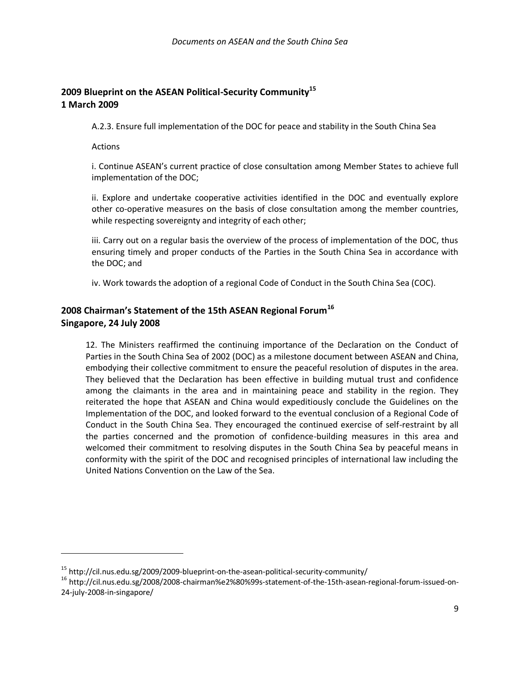### **2009 Blueprint on the ASEAN Political-Security Community<sup>15</sup> 1 March 2009**

A.2.3. Ensure full implementation of the DOC for peace and stability in the South China Sea

Actions

<span id="page-8-1"></span> $\overline{\phantom{a}}$ 

i. Continue ASEAN's current practice of close consultation among Member States to achieve full implementation of the DOC;

ii. Explore and undertake cooperative activities identified in the DOC and eventually explore other co-operative measures on the basis of close consultation among the member countries, while respecting sovereignty and integrity of each other;

iii. Carry out on a regular basis the overview of the process of implementation of the DOC, thus ensuring timely and proper conducts of the Parties in the South China Sea in accordance with the DOC; and

iv. Work towards the adoption of a regional Code of Conduct in the South China Sea (COC).

### <span id="page-8-0"></span>**2008 Chairman's Statement of the 15th ASEAN Regional Forum<sup>16</sup> Singapore, 24 July 2008**

12. The Ministers reaffirmed the continuing importance of the Declaration on the Conduct of Parties in the South China Sea of 2002 (DOC) as a milestone document between ASEAN and China, embodying their collective commitment to ensure the peaceful resolution of disputes in the area. They believed that the Declaration has been effective in building mutual trust and confidence among the claimants in the area and in maintaining peace and stability in the region. They reiterated the hope that ASEAN and China would expeditiously conclude the Guidelines on the Implementation of the DOC, and looked forward to the eventual conclusion of a Regional Code of Conduct in the South China Sea. They encouraged the continued exercise of self-restraint by all the parties concerned and the promotion of confidence-building measures in this area and welcomed their commitment to resolving disputes in the South China Sea by peaceful means in conformity with the spirit of the DOC and recognised principles of international law including the United Nations Convention on the Law of the Sea.

<sup>15</sup> http://cil.nus.edu.sg/2009/2009-blueprint-on-the-asean-political-security-community/

<sup>16</sup> http://cil.nus.edu.sg/2008/2008-chairman%e2%80%99s-statement-of-the-15th-asean-regional-forum-issued-on-24-july-2008-in-singapore/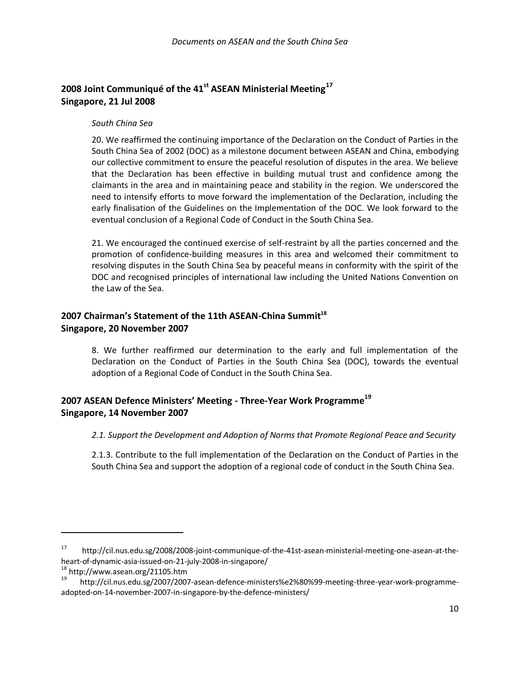# **2008 Joint Communiqué of the 41st ASEAN Ministerial Meeting<sup>17</sup> Singapore, 21 Jul 2008**

#### *South China Sea*

20. We reaffirmed the continuing importance of the Declaration on the Conduct of Parties in the South China Sea of 2002 (DOC) as a milestone document between ASEAN and China, embodying our collective commitment to ensure the peaceful resolution of disputes in the area. We believe that the Declaration has been effective in building mutual trust and confidence among the claimants in the area and in maintaining peace and stability in the region. We underscored the need to intensify efforts to move forward the implementation of the Declaration, including the early finalisation of the Guidelines on the Implementation of the DOC. We look forward to the eventual conclusion of a Regional Code of Conduct in the South China Sea.

21. We encouraged the continued exercise of self-restraint by all the parties concerned and the promotion of confidence-building measures in this area and welcomed their commitment to resolving disputes in the South China Sea by peaceful means in conformity with the spirit of the DOC and recognised principles of international law including the United Nations Convention on the Law of the Sea.

### <span id="page-9-0"></span>**2007 Chairman's Statement of the 11th ASEAN-China Summit<sup>18</sup> Singapore, 20 November 2007**

8. We further reaffirmed our determination to the early and full implementation of the Declaration on the Conduct of Parties in the South China Sea (DOC), towards the eventual adoption of a Regional Code of Conduct in the South China Sea.

### <span id="page-9-1"></span>**2007 ASEAN Defence Ministers' Meeting - Three-Year Work Programme<sup>19</sup> Singapore, 14 November 2007**

*2.1. Support the Development and Adoption of Norms that Promote Regional Peace and Security*

<span id="page-9-2"></span>2.1.3. Contribute to the full implementation of the Declaration on the Conduct of Parties in the South China Sea and support the adoption of a regional code of conduct in the South China Sea.

 $\overline{a}$ 

<sup>17</sup> http://cil.nus.edu.sg/2008/2008-joint-communique-of-the-41st-asean-ministerial-meeting-one-asean-at-theheart-of-dynamic-asia-issued-on-21-july-2008-in-singapore/

 $^{18}$  http://www.asean.org/21105.htm

http://cil.nus.edu.sg/2007/2007-asean-defence-ministers%e2%80%99-meeting-three-year-work-programmeadopted-on-14-november-2007-in-singapore-by-the-defence-ministers/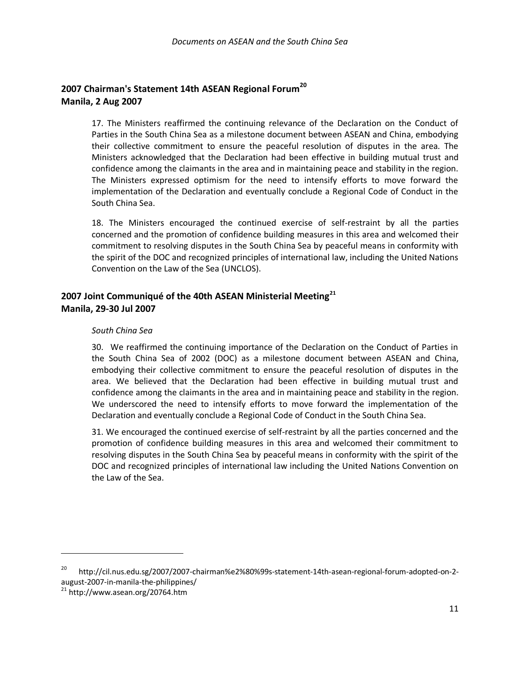### **2007 Chairman's Statement 14th ASEAN Regional Forum<sup>20</sup> Manila, 2 Aug 2007**

17. The Ministers reaffirmed the continuing relevance of the Declaration on the Conduct of Parties in the South China Sea as a milestone document between ASEAN and China, embodying their collective commitment to ensure the peaceful resolution of disputes in the area. The Ministers acknowledged that the Declaration had been effective in building mutual trust and confidence among the claimants in the area and in maintaining peace and stability in the region. The Ministers expressed optimism for the need to intensify efforts to move forward the implementation of the Declaration and eventually conclude a Regional Code of Conduct in the South China Sea.

18. The Ministers encouraged the continued exercise of self-restraint by all the parties concerned and the promotion of confidence building measures in this area and welcomed their commitment to resolving disputes in the South China Sea by peaceful means in conformity with the spirit of the DOC and recognized principles of international law, including the United Nations Convention on the Law of the Sea (UNCLOS).

### <span id="page-10-0"></span>**2007 Joint Communiqué of the 40th ASEAN Ministerial Meeting<sup>21</sup> Manila, 29-30 Jul 2007**

#### *South China Sea*

30. We reaffirmed the continuing importance of the Declaration on the Conduct of Parties in the South China Sea of 2002 (DOC) as a milestone document between ASEAN and China, embodying their collective commitment to ensure the peaceful resolution of disputes in the area. We believed that the Declaration had been effective in building mutual trust and confidence among the claimants in the area and in maintaining peace and stability in the region. We underscored the need to intensify efforts to move forward the implementation of the Declaration and eventually conclude a Regional Code of Conduct in the South China Sea.

31. We encouraged the continued exercise of self-restraint by all the parties concerned and the promotion of confidence building measures in this area and welcomed their commitment to resolving disputes in the South China Sea by peaceful means in conformity with the spirit of the DOC and recognized principles of international law including the United Nations Convention on the Law of the Sea.

<sup>20</sup> http://cil.nus.edu.sg/2007/2007-chairman%e2%80%99s-statement-14th-asean-regional-forum-adopted-on-2 august-2007-in-manila-the-philippines/

<sup>21</sup> http://www.asean.org/20764.htm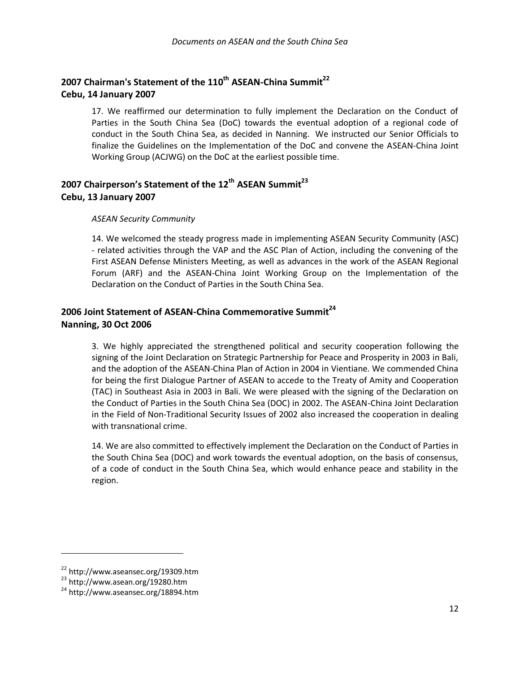## <span id="page-11-0"></span>**2007 Chairman's Statement of the 110th ASEAN-China Summit<sup>22</sup> Cebu, 14 January 2007**

17. We reaffirmed our determination to fully implement the Declaration on the Conduct of Parties in the South China Sea (DoC) towards the eventual adoption of a regional code of conduct in the South China Sea, as decided in Nanning. We instructed our Senior Officials to finalize the Guidelines on the Implementation of the DoC and convene the ASEAN-China Joint Working Group (ACJWG) on the DoC at the earliest possible time.

# <span id="page-11-1"></span>**2007 Chairperson's Statement of the 12th ASEAN Summit<sup>23</sup> Cebu, 13 January 2007**

#### *ASEAN Security Community*

14. We welcomed the steady progress made in implementing ASEAN Security Community (ASC) - related activities through the VAP and the ASC Plan of Action, including the convening of the First ASEAN Defense Ministers Meeting, as well as advances in the work of the ASEAN Regional Forum (ARF) and the ASEAN-China Joint Working Group on the Implementation of the Declaration on the Conduct of Parties in the South China Sea.

## <span id="page-11-2"></span>**2006 Joint Statement of ASEAN-China Commemorative Summit<sup>24</sup> Nanning, 30 Oct 2006**

3. We highly appreciated the strengthened political and security cooperation following the signing of the Joint Declaration on Strategic Partnership for Peace and Prosperity in 2003 in Bali, and the adoption of the ASEAN-China Plan of Action in 2004 in Vientiane. We commended China for being the first Dialogue Partner of ASEAN to accede to the Treaty of Amity and Cooperation (TAC) in Southeast Asia in 2003 in Bali. We were pleased with the signing of the Declaration on the Conduct of Parties in the South China Sea (DOC) in 2002. The ASEAN-China Joint Declaration in the Field of Non-Traditional Security Issues of 2002 also increased the cooperation in dealing with transnational crime.

<span id="page-11-3"></span>14. We are also committed to effectively implement the Declaration on the Conduct of Parties in the South China Sea (DOC) and work towards the eventual adoption, on the basis of consensus, of a code of conduct in the South China Sea, which would enhance peace and stability in the region.

<sup>22</sup> http://www.aseansec.org/19309.htm

<sup>23</sup> http://www.asean.org/19280.htm

<sup>24</sup> http://www.aseansec.org/18894.htm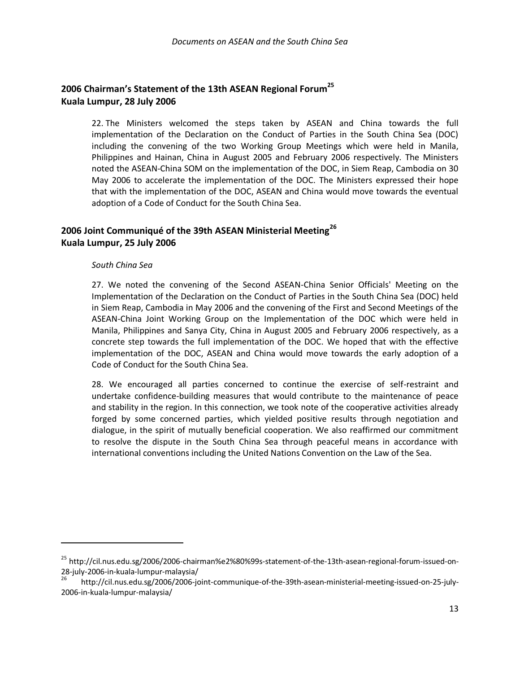## **2006 Chairman's Statement of the 13th ASEAN Regional Forum<sup>25</sup> Kuala Lumpur, 28 July 2006**

22. The Ministers welcomed the steps taken by ASEAN and China towards the full implementation of the Declaration on the Conduct of Parties in the South China Sea (DOC) including the convening of the two Working Group Meetings which were held in Manila, Philippines and Hainan, China in August 2005 and February 2006 respectively. The Ministers noted the ASEAN-China SOM on the implementation of the DOC, in Siem Reap, Cambodia on 30 May 2006 to accelerate the implementation of the DOC. The Ministers expressed their hope that with the implementation of the DOC, ASEAN and China would move towards the eventual adoption of a Code of Conduct for the South China Sea.

### <span id="page-12-0"></span>**2006 Joint Communiqué of the 39th ASEAN Ministerial Meeting<sup>26</sup> Kuala Lumpur, 25 July 2006**

#### *South China Sea*

<span id="page-12-1"></span> $\overline{\phantom{a}}$ 

27. We noted the convening of the Second ASEAN-China Senior Officials' Meeting on the Implementation of the Declaration on the Conduct of Parties in the South China Sea (DOC) held in Siem Reap, Cambodia in May 2006 and the convening of the First and Second Meetings of the ASEAN-China Joint Working Group on the Implementation of the DOC which were held in Manila, Philippines and Sanya City, China in August 2005 and February 2006 respectively, as a concrete step towards the full implementation of the DOC. We hoped that with the effective implementation of the DOC, ASEAN and China would move towards the early adoption of a Code of Conduct for the South China Sea.

28. We encouraged all parties concerned to continue the exercise of self-restraint and undertake confidence-building measures that would contribute to the maintenance of peace and stability in the region. In this connection, we took note of the cooperative activities already forged by some concerned parties, which yielded positive results through negotiation and dialogue, in the spirit of mutually beneficial cooperation. We also reaffirmed our commitment to resolve the dispute in the South China Sea through peaceful means in accordance with international conventions including the United Nations Convention on the Law of the Sea.

<sup>25</sup> http://cil.nus.edu.sg/2006/2006-chairman%e2%80%99s-statement-of-the-13th-asean-regional-forum-issued-on-28-july-2006-in-kuala-lumpur-malaysia/

<sup>26</sup> http://cil.nus.edu.sg/2006/2006-joint-communique-of-the-39th-asean-ministerial-meeting-issued-on-25-july-2006-in-kuala-lumpur-malaysia/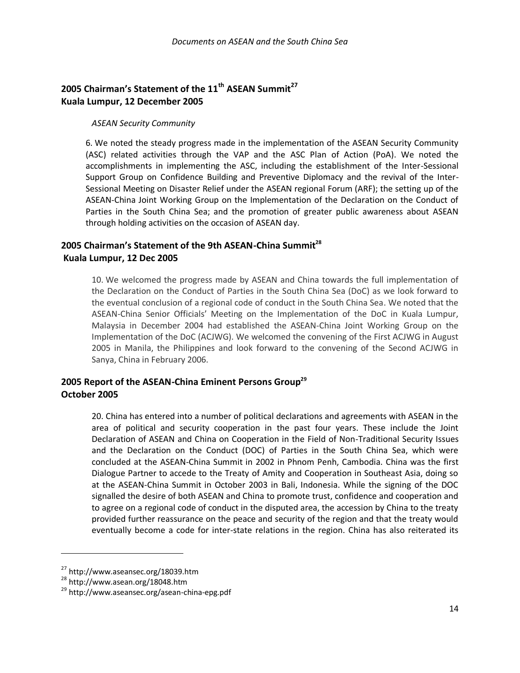## **2005 Chairman's Statement of the 11th ASEAN Summit<sup>27</sup> Kuala Lumpur, 12 December 2005**

#### *ASEAN Security Community*

6. We noted the steady progress made in the implementation of the ASEAN Security Community (ASC) related activities through the VAP and the ASC Plan of Action (PoA). We noted the accomplishments in implementing the ASC, including the establishment of the Inter-Sessional Support Group on Confidence Building and Preventive Diplomacy and the revival of the Inter-Sessional Meeting on Disaster Relief under the ASEAN regional Forum (ARF); the setting up of the ASEAN-China Joint Working Group on the Implementation of the Declaration on the Conduct of Parties in the South China Sea; and the promotion of greater public awareness about ASEAN through holding activities on the occasion of ASEAN day.

### <span id="page-13-0"></span>**2005 Chairman's Statement of the 9th ASEAN-China Summit<sup>28</sup> Kuala Lumpur, 12 Dec 2005**

10. We welcomed the progress made by ASEAN and China towards the full implementation of the Declaration on the Conduct of Parties in the South China Sea (DoC) as we look forward to the eventual conclusion of a regional code of conduct in the South China Sea. We noted that the ASEAN-China Senior Officials' Meeting on the Implementation of the DoC in Kuala Lumpur, Malaysia in December 2004 had established the ASEAN-China Joint Working Group on the Implementation of the DoC (ACJWG). We welcomed the convening of the First ACJWG in August 2005 in Manila, the Philippines and look forward to the convening of the Second ACJWG in Sanya, China in February 2006.

### <span id="page-13-1"></span>**2005 Report of the ASEAN-China Eminent Persons Group<sup>29</sup> October 2005**

20. China has entered into a number of political declarations and agreements with ASEAN in the area of political and security cooperation in the past four years. These include the Joint Declaration of ASEAN and China on Cooperation in the Field of Non-Traditional Security Issues and the Declaration on the Conduct (DOC) of Parties in the South China Sea, which were concluded at the ASEAN-China Summit in 2002 in Phnom Penh, Cambodia. China was the first Dialogue Partner to accede to the Treaty of Amity and Cooperation in Southeast Asia, doing so at the ASEAN-China Summit in October 2003 in Bali, Indonesia. While the signing of the DOC signalled the desire of both ASEAN and China to promote trust, confidence and cooperation and to agree on a regional code of conduct in the disputed area, the accession by China to the treaty provided further reassurance on the peace and security of the region and that the treaty would eventually become a code for inter-state relations in the region. China has also reiterated its

<sup>&</sup>lt;sup>27</sup> http://www.aseansec.org/18039.htm

<sup>28</sup> http://www.asean.org/18048.htm

<sup>29</sup> http://www.aseansec.org/asean-china-epg.pdf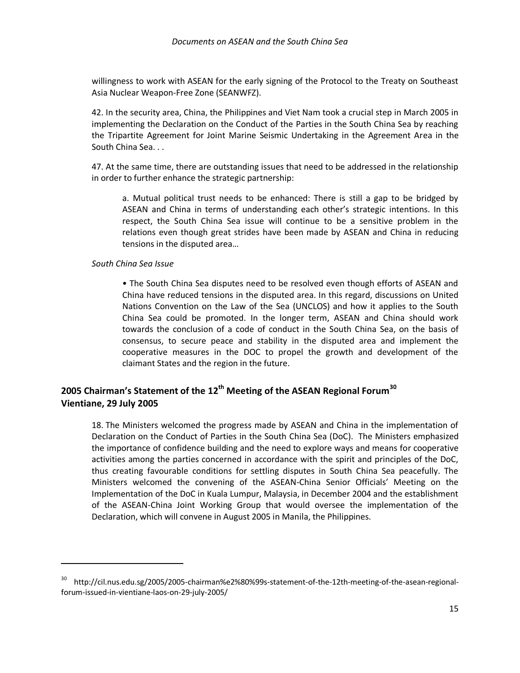willingness to work with ASEAN for the early signing of the Protocol to the Treaty on Southeast Asia Nuclear Weapon-Free Zone (SEANWFZ).

42. In the security area, China, the Philippines and Viet Nam took a crucial step in March 2005 in implementing the Declaration on the Conduct of the Parties in the South China Sea by reaching the Tripartite Agreement for Joint Marine Seismic Undertaking in the Agreement Area in the South China Sea. . .

47. At the same time, there are outstanding issues that need to be addressed in the relationship in order to further enhance the strategic partnership:

a. Mutual political trust needs to be enhanced: There is still a gap to be bridged by ASEAN and China in terms of understanding each other's strategic intentions. In this respect, the South China Sea issue will continue to be a sensitive problem in the relations even though great strides have been made by ASEAN and China in reducing tensions in the disputed area…

#### *South China Sea Issue*

<span id="page-14-1"></span> $\overline{\phantom{a}}$ 

• The South China Sea disputes need to be resolved even though efforts of ASEAN and China have reduced tensions in the disputed area. In this regard, discussions on United Nations Convention on the Law of the Sea (UNCLOS) and how it applies to the South China Sea could be promoted. In the longer term, ASEAN and China should work towards the conclusion of a code of conduct in the South China Sea, on the basis of consensus, to secure peace and stability in the disputed area and implement the cooperative measures in the DOC to propel the growth and development of the claimant States and the region in the future.

# <span id="page-14-0"></span>**2005 Chairman's Statement of the 12th Meeting of the ASEAN Regional Forum<sup>30</sup> Vientiane, 29 July 2005**

18. The Ministers welcomed the progress made by ASEAN and China in the implementation of Declaration on the Conduct of Parties in the South China Sea (DoC). The Ministers emphasized the importance of confidence building and the need to explore ways and means for cooperative activities among the parties concerned in accordance with the spirit and principles of the DoC, thus creating favourable conditions for settling disputes in South China Sea peacefully. The Ministers welcomed the convening of the ASEAN-China Senior Officials' Meeting on the Implementation of the DoC in Kuala Lumpur, Malaysia, in December 2004 and the establishment of the ASEAN-China Joint Working Group that would oversee the implementation of the Declaration, which will convene in August 2005 in Manila, the Philippines.

http://cil.nus.edu.sg/2005/2005-chairman%e2%80%99s-statement-of-the-12th-meeting-of-the-asean-regionalforum-issued-in-vientiane-laos-on-29-july-2005/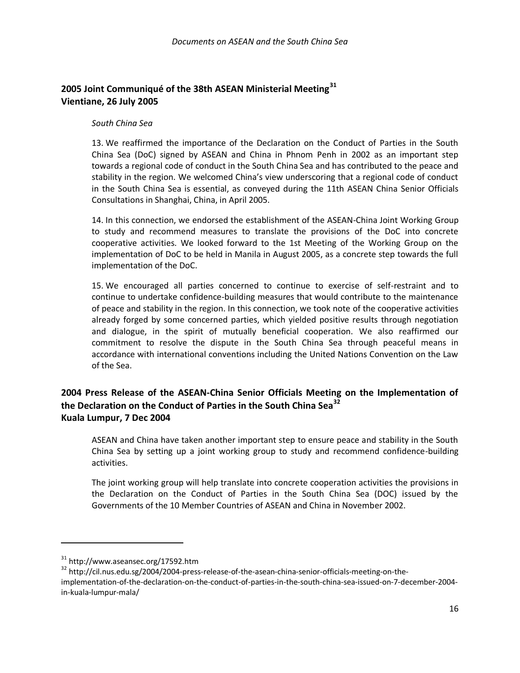## **2005 Joint Communiqué of the 38th ASEAN Ministerial Meeting<sup>31</sup> Vientiane, 26 July 2005**

#### *South China Sea*

13. We reaffirmed the importance of the Declaration on the Conduct of Parties in the South China Sea (DoC) signed by ASEAN and China in Phnom Penh in 2002 as an important step towards a regional code of conduct in the South China Sea and has contributed to the peace and stability in the region. We welcomed China's view underscoring that a regional code of conduct in the South China Sea is essential, as conveyed during the 11th ASEAN China Senior Officials Consultations in Shanghai, China, in April 2005.

14. In this connection, we endorsed the establishment of the ASEAN-China Joint Working Group to study and recommend measures to translate the provisions of the DoC into concrete cooperative activities. We looked forward to the 1st Meeting of the Working Group on the implementation of DoC to be held in Manila in August 2005, as a concrete step towards the full implementation of the DoC.

15. We encouraged all parties concerned to continue to exercise of self-restraint and to continue to undertake confidence-building measures that would contribute to the maintenance of peace and stability in the region. In this connection, we took note of the cooperative activities already forged by some concerned parties, which yielded positive results through negotiation and dialogue, in the spirit of mutually beneficial cooperation. We also reaffirmed our commitment to resolve the dispute in the South China Sea through peaceful means in accordance with international conventions including the United Nations Convention on the Law of the Sea.

### <span id="page-15-0"></span>**2004 Press Release of the ASEAN-China Senior Officials Meeting on the Implementation of the Declaration on the Conduct of Parties in the South China Sea<sup>32</sup> Kuala Lumpur, 7 Dec 2004**

ASEAN and China have taken another important step to ensure peace and stability in the South China Sea by setting up a joint working group to study and recommend confidence-building activities.

The joint working group will help translate into concrete cooperation activities the provisions in the Declaration on the Conduct of Parties in the South China Sea (DOC) issued by the Governments of the 10 Member Countries of ASEAN and China in November 2002.

<sup>31</sup> http://www.aseansec.org/17592.htm

<sup>&</sup>lt;sup>32</sup> http://cil.nus.edu.sg/2004/2004-press-release-of-the-asean-china-senior-officials-meeting-on-theimplementation-of-the-declaration-on-the-conduct-of-parties-in-the-south-china-sea-issued-on-7-december-2004 in-kuala-lumpur-mala/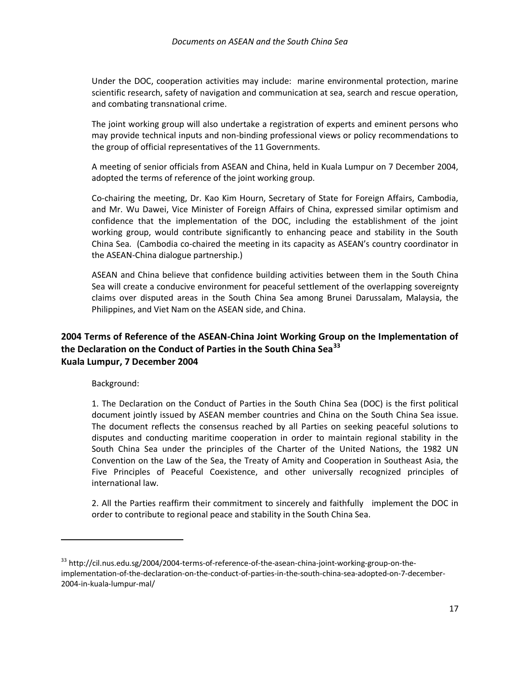Under the DOC, cooperation activities may include: marine environmental protection, marine scientific research, safety of navigation and communication at sea, search and rescue operation, and combating transnational crime.

The joint working group will also undertake a registration of experts and eminent persons who may provide technical inputs and non-binding professional views or policy recommendations to the group of official representatives of the 11 Governments.

A meeting of senior officials from ASEAN and China, held in Kuala Lumpur on 7 December 2004, adopted the terms of reference of the joint working group.

Co-chairing the meeting, Dr. Kao Kim Hourn, Secretary of State for Foreign Affairs, Cambodia, and Mr. Wu Dawei, Vice Minister of Foreign Affairs of China, expressed similar optimism and confidence that the implementation of the DOC, including the establishment of the joint working group, would contribute significantly to enhancing peace and stability in the South China Sea. (Cambodia co-chaired the meeting in its capacity as ASEAN's country coordinator in the ASEAN-China dialogue partnership.)

ASEAN and China believe that confidence building activities between them in the South China Sea will create a conducive environment for peaceful settlement of the overlapping sovereignty claims over disputed areas in the South China Sea among Brunei Darussalam, Malaysia, the Philippines, and Viet Nam on the ASEAN side, and China.

### <span id="page-16-0"></span>**2004 Terms of Reference of the ASEAN-China Joint Working Group on the Implementation of the Declaration on the Conduct of Parties in the South China Sea<sup>33</sup> Kuala Lumpur, 7 December 2004**

Background:

 $\overline{\phantom{a}}$ 

1. The Declaration on the Conduct of Parties in the South China Sea (DOC) is the first political document jointly issued by ASEAN member countries and China on the South China Sea issue. The document reflects the consensus reached by all Parties on seeking peaceful solutions to disputes and conducting maritime cooperation in order to maintain regional stability in the South China Sea under the principles of the Charter of the United Nations, the 1982 UN Convention on the Law of the Sea, the Treaty of Amity and Cooperation in Southeast Asia, the Five Principles of Peaceful Coexistence, and other universally recognized principles of international law.

2. All the Parties reaffirm their commitment to sincerely and faithfully implement the DOC in order to contribute to regional peace and stability in the South China Sea.

<sup>33</sup> http://cil.nus.edu.sg/2004/2004-terms-of-reference-of-the-asean-china-joint-working-group-on-theimplementation-of-the-declaration-on-the-conduct-of-parties-in-the-south-china-sea-adopted-on-7-december-2004-in-kuala-lumpur-mal/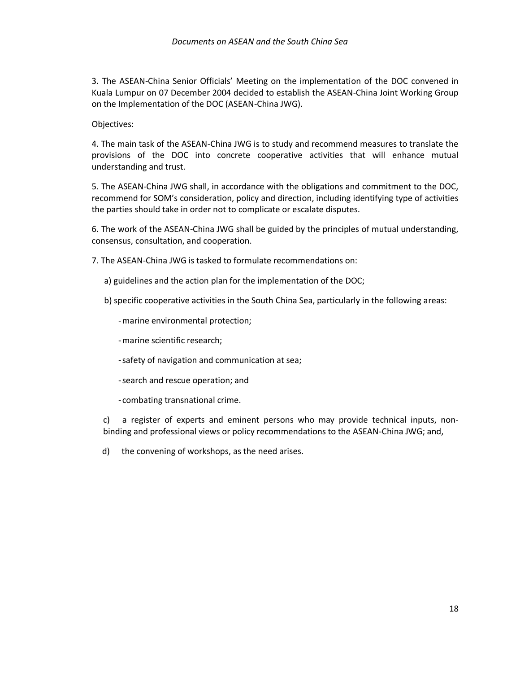3. The ASEAN-China Senior Officials' Meeting on the implementation of the DOC convened in Kuala Lumpur on 07 December 2004 decided to establish the ASEAN-China Joint Working Group on the Implementation of the DOC (ASEAN-China JWG).

#### Objectives:

4. The main task of the ASEAN-China JWG is to study and recommend measures to translate the provisions of the DOC into concrete cooperative activities that will enhance mutual understanding and trust.

5. The ASEAN-China JWG shall, in accordance with the obligations and commitment to the DOC, recommend for SOM's consideration, policy and direction, including identifying type of activities the parties should take in order not to complicate or escalate disputes.

6. The work of the ASEAN-China JWG shall be guided by the principles of mutual understanding, consensus, consultation, and cooperation.

7. The ASEAN-China JWG is tasked to formulate recommendations on:

- a) guidelines and the action plan for the implementation of the DOC;
- b) specific cooperative activities in the South China Sea, particularly in the following areas:
	- -marine environmental protection;
	- -marine scientific research;
	- -safety of navigation and communication at sea;
	- -search and rescue operation; and
	- combating transnational crime.

c) a register of experts and eminent persons who may provide technical inputs, nonbinding and professional views or policy recommendations to the ASEAN-China JWG; and,

<span id="page-17-0"></span>d) the convening of workshops, as the need arises.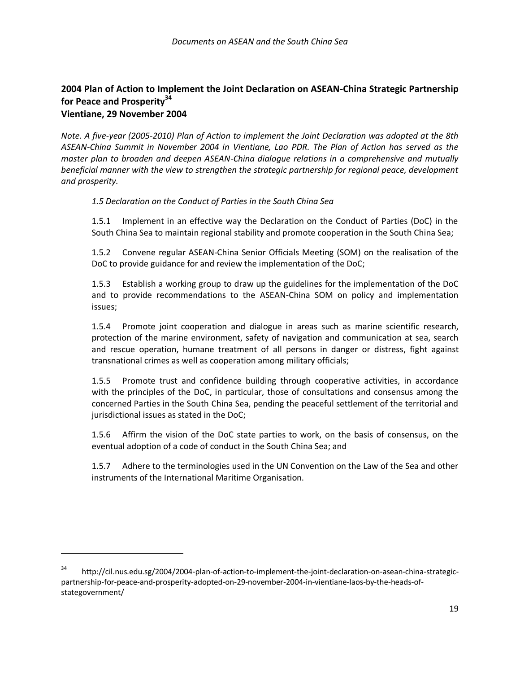# **2004 Plan of Action to Implement the Joint Declaration on ASEAN-China Strategic Partnership for Peace and Prosperity<sup>34</sup>**

#### **Vientiane, 29 November 2004**

 $\overline{\phantom{a}}$ 

*Note. A five-year (2005-2010) Plan of Action to implement the Joint Declaration was adopted at the 8th ASEAN-China Summit in November 2004 in Vientiane, Lao PDR. The Plan of Action has served as the master plan to broaden and deepen ASEAN-China dialogue relations in a comprehensive and mutually beneficial manner with the view to strengthen the strategic partnership for regional peace, development and prosperity.*

#### *1.5 Declaration on the Conduct of Parties in the South China Sea*

1.5.1 Implement in an effective way the Declaration on the Conduct of Parties (DoC) in the South China Sea to maintain regional stability and promote cooperation in the South China Sea;

1.5.2 Convene regular ASEAN-China Senior Officials Meeting (SOM) on the realisation of the DoC to provide guidance for and review the implementation of the DoC;

1.5.3 Establish a working group to draw up the guidelines for the implementation of the DoC and to provide recommendations to the ASEAN-China SOM on policy and implementation issues;

1.5.4 Promote joint cooperation and dialogue in areas such as marine scientific research, protection of the marine environment, safety of navigation and communication at sea, search and rescue operation, humane treatment of all persons in danger or distress, fight against transnational crimes as well as cooperation among military officials;

1.5.5 Promote trust and confidence building through cooperative activities, in accordance with the principles of the DoC, in particular, those of consultations and consensus among the concerned Parties in the South China Sea, pending the peaceful settlement of the territorial and jurisdictional issues as stated in the DoC;

1.5.6 Affirm the vision of the DoC state parties to work, on the basis of consensus, on the eventual adoption of a code of conduct in the South China Sea; and

<span id="page-18-0"></span>1.5.7 Adhere to the terminologies used in the UN Convention on the Law of the Sea and other instruments of the International Maritime Organisation.

<sup>34</sup> http://cil.nus.edu.sg/2004/2004-plan-of-action-to-implement-the-joint-declaration-on-asean-china-strategicpartnership-for-peace-and-prosperity-adopted-on-29-november-2004-in-vientiane-laos-by-the-heads-ofstategovernment/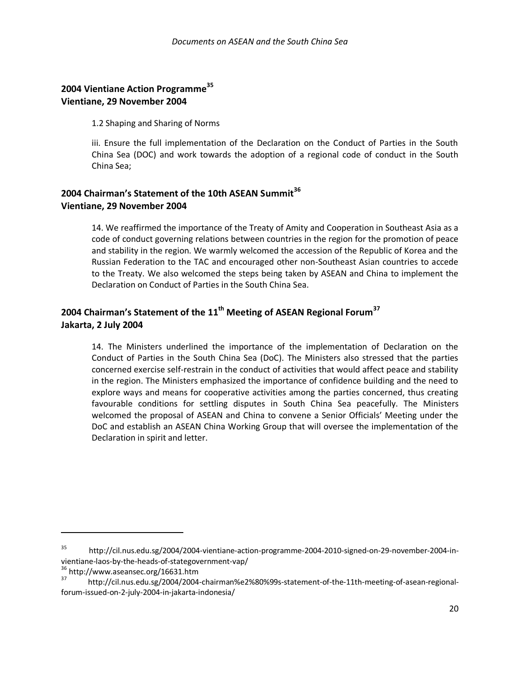### **2004 Vientiane Action Programme<sup>35</sup> Vientiane, 29 November 2004**

1.2 Shaping and Sharing of Norms

iii. Ensure the full implementation of the Declaration on the Conduct of Parties in the South China Sea (DOC) and work towards the adoption of a regional code of conduct in the South China Sea;

### <span id="page-19-0"></span>**2004 Chairman's Statement of the 10th ASEAN Summit<sup>36</sup> Vientiane, 29 November 2004**

14. We reaffirmed the importance of the Treaty of Amity and Cooperation in Southeast Asia as a code of conduct governing relations between countries in the region for the promotion of peace and stability in the region. We warmly welcomed the accession of the Republic of Korea and the Russian Federation to the TAC and encouraged other non-Southeast Asian countries to accede to the Treaty. We also welcomed the steps being taken by ASEAN and China to implement the Declaration on Conduct of Parties in the South China Sea.

# <span id="page-19-1"></span>**2004 Chairman's Statement of the 11th Meeting of ASEAN Regional Forum<sup>37</sup> Jakarta, 2 July 2004**

14. The Ministers underlined the importance of the implementation of Declaration on the Conduct of Parties in the South China Sea (DoC). The Ministers also stressed that the parties concerned exercise self-restrain in the conduct of activities that would affect peace and stability in the region. The Ministers emphasized the importance of confidence building and the need to explore ways and means for cooperative activities among the parties concerned, thus creating favourable conditions for settling disputes in South China Sea peacefully. The Ministers welcomed the proposal of ASEAN and China to convene a Senior Officials' Meeting under the DoC and establish an ASEAN China Working Group that will oversee the implementation of the Declaration in spirit and letter.

<span id="page-19-2"></span> $\overline{a}$ 

<sup>35</sup> http://cil.nus.edu.sg/2004/2004-vientiane-action-programme-2004-2010-signed-on-29-november-2004-invientiane-laos-by-the-heads-of-stategovernment-vap/

<sup>&</sup>lt;sup>36</sup> http://www.aseansec.org/16631.htm

http://cil.nus.edu.sg/2004/2004-chairman%e2%80%99s-statement-of-the-11th-meeting-of-asean-regionalforum-issued-on-2-july-2004-in-jakarta-indonesia/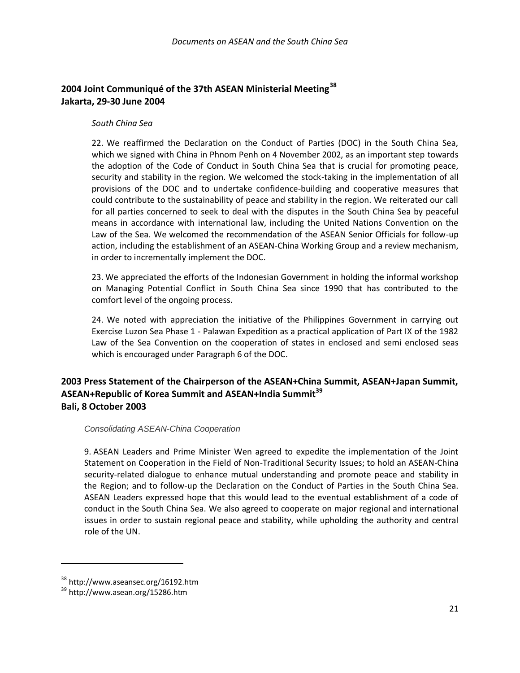### **2004 Joint Communiqué of the 37th ASEAN Ministerial Meeting<sup>38</sup> Jakarta, 29-30 June 2004**

#### *South China Sea*

22. We reaffirmed the Declaration on the Conduct of Parties (DOC) in the South China Sea, which we signed with China in Phnom Penh on 4 November 2002, as an important step towards the adoption of the Code of Conduct in South China Sea that is crucial for promoting peace, security and stability in the region. We welcomed the stock-taking in the implementation of all provisions of the DOC and to undertake confidence-building and cooperative measures that could contribute to the sustainability of peace and stability in the region. We reiterated our call for all parties concerned to seek to deal with the disputes in the South China Sea by peaceful means in accordance with international law, including the United Nations Convention on the Law of the Sea. We welcomed the recommendation of the ASEAN Senior Officials for follow-up action, including the establishment of an ASEAN-China Working Group and a review mechanism, in order to incrementally implement the DOC.

23. We appreciated the efforts of the Indonesian Government in holding the informal workshop on Managing Potential Conflict in South China Sea since 1990 that has contributed to the comfort level of the ongoing process.

24. We noted with appreciation the initiative of the Philippines Government in carrying out Exercise Luzon Sea Phase 1 - Palawan Expedition as a practical application of Part IX of the 1982 Law of the Sea Convention on the cooperation of states in enclosed and semi enclosed seas which is encouraged under Paragraph 6 of the DOC.

### <span id="page-20-0"></span>**2003 Press Statement of the Chairperson of the ASEAN+China Summit, ASEAN+Japan Summit, ASEAN+Republic of Korea Summit and ASEAN+India Summit<sup>39</sup> Bali, 8 October 2003**

#### *Consolidating ASEAN-China Cooperation*

9. ASEAN Leaders and Prime Minister Wen agreed to expedite the implementation of the Joint Statement on Cooperation in the Field of Non-Traditional Security Issues; to hold an ASEAN-China security-related dialogue to enhance mutual understanding and promote peace and stability in the Region; and to follow-up the Declaration on the Conduct of Parties in the South China Sea. ASEAN Leaders expressed hope that this would lead to the eventual establishment of a code of conduct in the South China Sea. We also agreed to cooperate on major regional and international issues in order to sustain regional peace and stability, while upholding the authority and central role of the UN.

<span id="page-20-1"></span><sup>&</sup>lt;sup>38</sup> http://www.aseansec.org/16192.htm

<sup>&</sup>lt;sup>39</sup> http://www.asean.org/15286.htm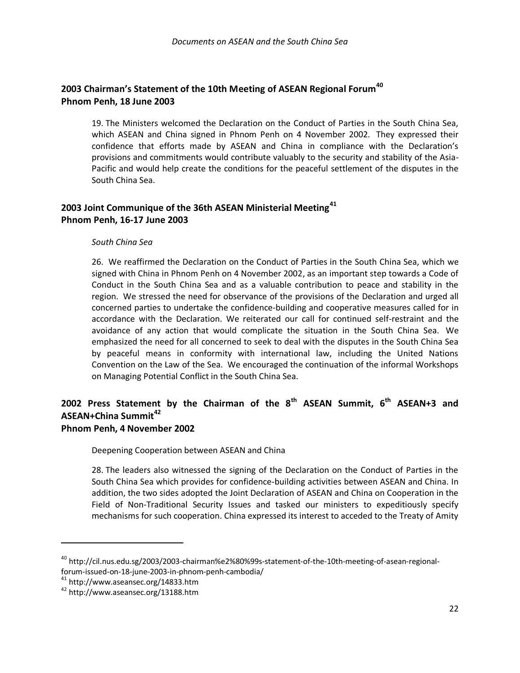### **2003 Chairman's Statement of the 10th Meeting of ASEAN Regional Forum<sup>40</sup> Phnom Penh, 18 June 2003**

19. The Ministers welcomed the Declaration on the Conduct of Parties in the South China Sea, which ASEAN and China signed in Phnom Penh on 4 November 2002. They expressed their confidence that efforts made by ASEAN and China in compliance with the Declaration's provisions and commitments would contribute valuably to the security and stability of the Asia-Pacific and would help create the conditions for the peaceful settlement of the disputes in the South China Sea.

### <span id="page-21-0"></span>**2003 Joint Communique of the 36th ASEAN Ministerial Meeting<sup>41</sup> Phnom Penh, 16-17 June 2003**

#### *South China Sea*

26. We reaffirmed the Declaration on the Conduct of Parties in the South China Sea, which we signed with China in Phnom Penh on 4 November 2002, as an important step towards a Code of Conduct in the South China Sea and as a valuable contribution to peace and stability in the region. We stressed the need for observance of the provisions of the Declaration and urged all concerned parties to undertake the confidence-building and cooperative measures called for in accordance with the Declaration. We reiterated our call for continued self-restraint and the avoidance of any action that would complicate the situation in the South China Sea. We emphasized the need for all concerned to seek to deal with the disputes in the South China Sea by peaceful means in conformity with international law, including the United Nations Convention on the Law of the Sea. We encouraged the continuation of the informal Workshops on Managing Potential Conflict in the South China Sea.

# <span id="page-21-1"></span>**2002 Press Statement by the Chairman of the 8th ASEAN Summit, 6th ASEAN+3 and ASEAN+China Summit<sup>42</sup>**

#### **Phnom Penh, 4 November 2002**

Deepening Cooperation between ASEAN and China

28. The leaders also witnessed the signing of the Declaration on the Conduct of Parties in the South China Sea which provides for confidence-building activities between ASEAN and China. In addition, the two sides adopted the Joint Declaration of ASEAN and China on Cooperation in the Field of Non-Traditional Security Issues and tasked our ministers to expeditiously specify mechanisms for such cooperation. China expressed its interest to acceded to the Treaty of Amity

<sup>40</sup> http://cil.nus.edu.sg/2003/2003-chairman%e2%80%99s-statement-of-the-10th-meeting-of-asean-regionalforum-issued-on-18-june-2003-in-phnom-penh-cambodia/

<sup>41</sup> <http://www.aseansec.org/14833.htm>

<sup>42</sup> http://www.aseansec.org/13188.htm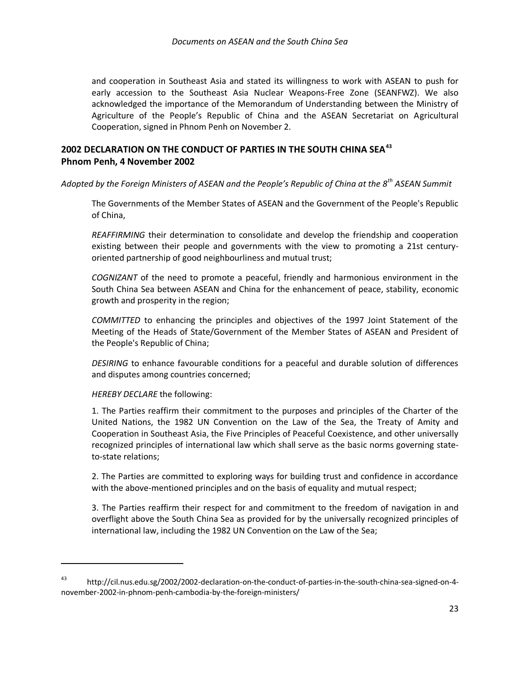and cooperation in Southeast Asia and stated its willingness to work with ASEAN to push for early accession to the Southeast Asia Nuclear Weapons-Free Zone (SEANFWZ). We also acknowledged the importance of the Memorandum of Understanding between the Ministry of Agriculture of the People's Republic of China and the ASEAN Secretariat on Agricultural Cooperation, signed in Phnom Penh on November 2.

### <span id="page-22-0"></span>**2002 DECLARATION ON THE CONDUCT OF PARTIES IN THE SOUTH CHINA SEA<sup>43</sup> Phnom Penh, 4 November 2002**

*Adopted by the Foreign Ministers of ASEAN and the People's Republic of China at the 8th ASEAN Summit*

The Governments of the Member States of ASEAN and the Government of the People's Republic of China,

*REAFFIRMING* their determination to consolidate and develop the friendship and cooperation existing between their people and governments with the view to promoting a 21st centuryoriented partnership of good neighbourliness and mutual trust;

*COGNIZANT* of the need to promote a peaceful, friendly and harmonious environment in the South China Sea between ASEAN and China for the enhancement of peace, stability, economic growth and prosperity in the region;

*COMMITTED* to enhancing the principles and objectives of the 1997 Joint Statement of the Meeting of the Heads of State/Government of the Member States of ASEAN and President of the People's Republic of China;

*DESIRING* to enhance favourable conditions for a peaceful and durable solution of differences and disputes among countries concerned;

#### *HEREBY DECLARE* the following:

 $\overline{\phantom{a}}$ 

1. The Parties reaffirm their commitment to the purposes and principles of the Charter of the United Nations, the 1982 UN Convention on the Law of the Sea, the Treaty of Amity and Cooperation in Southeast Asia, the Five Principles of Peaceful Coexistence, and other universally recognized principles of international law which shall serve as the basic norms governing stateto-state relations;

2. The Parties are committed to exploring ways for building trust and confidence in accordance with the above-mentioned principles and on the basis of equality and mutual respect;

3. The Parties reaffirm their respect for and commitment to the freedom of navigation in and overflight above the South China Sea as provided for by the universally recognized principles of international law, including the 1982 UN Convention on the Law of the Sea;

<sup>&</sup>lt;sup>43</sup> http://cil.nus.edu.sg/2002/2002-declaration-on-the-conduct-of-parties-in-the-south-china-sea-signed-on-4november-2002-in-phnom-penh-cambodia-by-the-foreign-ministers/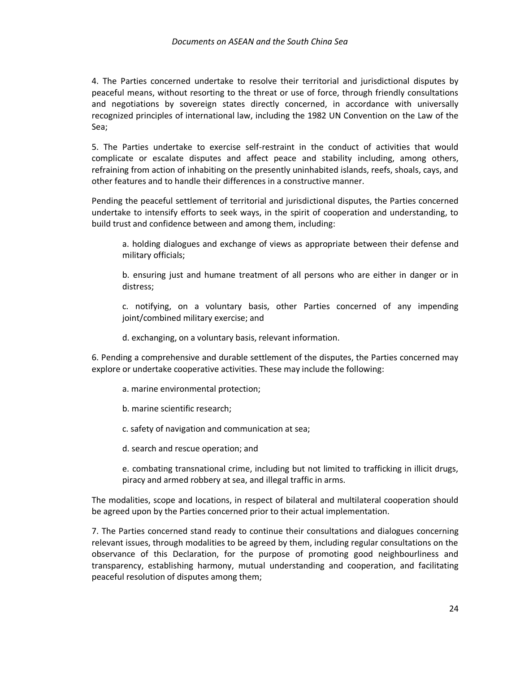4. The Parties concerned undertake to resolve their territorial and jurisdictional disputes by peaceful means, without resorting to the threat or use of force, through friendly consultations and negotiations by sovereign states directly concerned, in accordance with universally recognized principles of international law, including the 1982 UN Convention on the Law of the Sea;

5. The Parties undertake to exercise self-restraint in the conduct of activities that would complicate or escalate disputes and affect peace and stability including, among others, refraining from action of inhabiting on the presently uninhabited islands, reefs, shoals, cays, and other features and to handle their differences in a constructive manner.

Pending the peaceful settlement of territorial and jurisdictional disputes, the Parties concerned undertake to intensify efforts to seek ways, in the spirit of cooperation and understanding, to build trust and confidence between and among them, including:

a. holding dialogues and exchange of views as appropriate between their defense and military officials;

b. ensuring just and humane treatment of all persons who are either in danger or in distress;

c. notifying, on a voluntary basis, other Parties concerned of any impending joint/combined military exercise; and

d. exchanging, on a voluntary basis, relevant information.

6. Pending a comprehensive and durable settlement of the disputes, the Parties concerned may explore or undertake cooperative activities. These may include the following:

- a. marine environmental protection;
- b. marine scientific research;
- c. safety of navigation and communication at sea;
- d. search and rescue operation; and
- e. combating transnational crime, including but not limited to trafficking in illicit drugs, piracy and armed robbery at sea, and illegal traffic in arms.

The modalities, scope and locations, in respect of bilateral and multilateral cooperation should be agreed upon by the Parties concerned prior to their actual implementation.

7. The Parties concerned stand ready to continue their consultations and dialogues concerning relevant issues, through modalities to be agreed by them, including regular consultations on the observance of this Declaration, for the purpose of promoting good neighbourliness and transparency, establishing harmony, mutual understanding and cooperation, and facilitating peaceful resolution of disputes among them;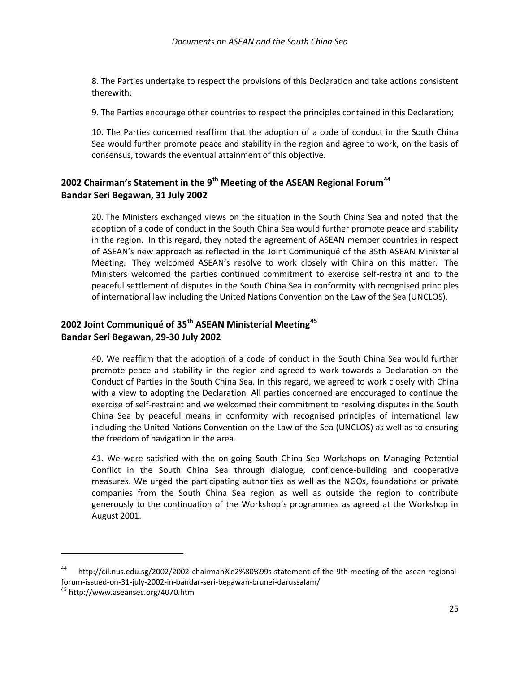8. The Parties undertake to respect the provisions of this Declaration and take actions consistent therewith;

9. The Parties encourage other countries to respect the principles contained in this Declaration;

10. The Parties concerned reaffirm that the adoption of a code of conduct in the South China Sea would further promote peace and stability in the region and agree to work, on the basis of consensus, towards the eventual attainment of this objective.

### <span id="page-24-0"></span>**2002 Chairman's Statement in the 9th Meeting of the ASEAN Regional Forum<sup>44</sup> Bandar Seri Begawan, 31 July 2002**

20. The Ministers exchanged views on the situation in the South China Sea and noted that the adoption of a code of conduct in the South China Sea would further promote peace and stability in the region. In this regard, they noted the agreement of ASEAN member countries in respect of ASEAN's new approach as reflected in the Joint Communiqué of the 35th ASEAN Ministerial Meeting. They welcomed ASEAN's resolve to work closely with China on this matter. The Ministers welcomed the parties continued commitment to exercise self-restraint and to the peaceful settlement of disputes in the South China Sea in conformity with recognised principles of international law including the United Nations Convention on the Law of the Sea (UNCLOS).

# <span id="page-24-1"></span>**2002 Joint Communiqué of 35th ASEAN Ministerial Meeting<sup>45</sup> Bandar Seri Begawan, 29-30 July 2002**

40. We reaffirm that the adoption of a code of conduct in the South China Sea would further promote peace and stability in the region and agreed to work towards a Declaration on the Conduct of Parties in the South China Sea. In this regard, we agreed to work closely with China with a view to adopting the Declaration. All parties concerned are encouraged to continue the exercise of self-restraint and we welcomed their commitment to resolving disputes in the South China Sea by peaceful means in conformity with recognised principles of international law including the United Nations Convention on the Law of the Sea (UNCLOS) as well as to ensuring the freedom of navigation in the area.

41. We were satisfied with the on-going South China Sea Workshops on Managing Potential Conflict in the South China Sea through dialogue, confidence-building and cooperative measures. We urged the participating authorities as well as the NGOs, foundations or private companies from the South China Sea region as well as outside the region to contribute generously to the continuation of the Workshop's programmes as agreed at the Workshop in August 2001.

<span id="page-24-2"></span><sup>44</sup> http://cil.nus.edu.sg/2002/2002-chairman%e2%80%99s-statement-of-the-9th-meeting-of-the-asean-regionalforum-issued-on-31-july-2002-in-bandar-seri-begawan-brunei-darussalam/

<sup>45</sup> http://www.aseansec.org/4070.htm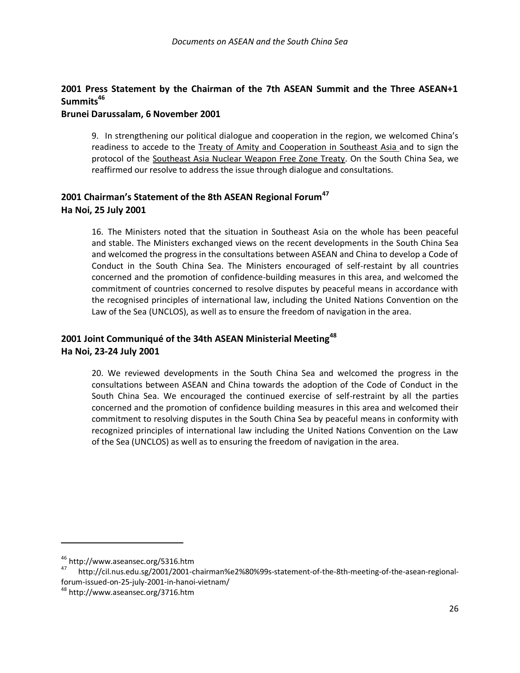### **2001 Press Statement by the Chairman of the 7th ASEAN Summit and the Three ASEAN+1 Summits<sup>46</sup>**

#### **Brunei Darussalam, 6 November 2001**

9. In strengthening our political dialogue and cooperation in the region, we welcomed China's readiness to accede to the Treaty of Amity and Cooperation in Southeast Asia and to sign the protocol of the Southeast Asia Nuclear Weapon Free Zone Treaty. On the South China Sea, we reaffirmed our resolve to address the issue through dialogue and consultations.

### <span id="page-25-0"></span>**2001 Chairman's Statement of the 8th ASEAN Regional Forum<sup>47</sup> Ha Noi, 25 July 2001**

16. The Ministers noted that the situation in Southeast Asia on the whole has been peaceful and stable. The Ministers exchanged views on the recent developments in the South China Sea and welcomed the progress in the consultations between ASEAN and China to develop a Code of Conduct in the South China Sea. The Ministers encouraged of self-restaint by all countries concerned and the promotion of confidence-building measures in this area, and welcomed the commitment of countries concerned to resolve disputes by peaceful means in accordance with the recognised principles of international law, including the United Nations Convention on the Law of the Sea (UNCLOS), as well as to ensure the freedom of navigation in the area.

## <span id="page-25-1"></span>**2001 Joint Communiqué of the 34th ASEAN Ministerial Meeting<sup>48</sup> Ha Noi, 23-24 July 2001**

<span id="page-25-2"></span>20. We reviewed developments in the South China Sea and welcomed the progress in the consultations between ASEAN and China towards the adoption of the Code of Conduct in the South China Sea. We encouraged the continued exercise of self-restraint by all the parties concerned and the promotion of confidence building measures in this area and welcomed their commitment to resolving disputes in the South China Sea by peaceful means in conformity with recognized principles of international law including the United Nations Convention on the Law of the Sea (UNCLOS) as well as to ensuring the freedom of navigation in the area.

<sup>46</sup> http://www.aseansec.org/5316.htm

<sup>47</sup> http://cil.nus.edu.sg/2001/2001-chairman%e2%80%99s-statement-of-the-8th-meeting-of-the-asean-regionalforum-issued-on-25-july-2001-in-hanoi-vietnam/

<sup>48</sup> http://www.aseansec.org/3716.htm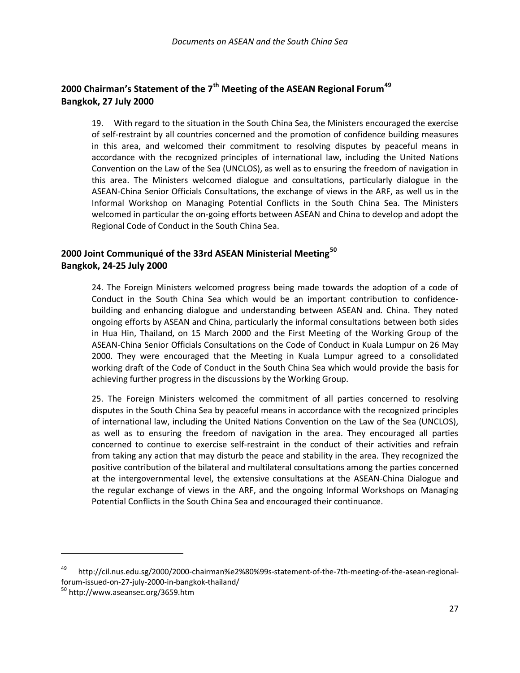# **2000 Chairman's Statement of the 7th Meeting of the ASEAN Regional Forum<sup>49</sup> Bangkok, 27 July 2000**

19. With regard to the situation in the South China Sea, the Ministers encouraged the exercise of self-restraint by all countries concerned and the promotion of confidence building measures in this area, and welcomed their commitment to resolving disputes by peaceful means in accordance with the recognized principles of international law, including the United Nations Convention on the Law of the Sea (UNCLOS), as well as to ensuring the freedom of navigation in this area. The Ministers welcomed dialogue and consultations, particularly dialogue in the ASEAN-China Senior Officials Consultations, the exchange of views in the ARF, as well us in the Informal Workshop on Managing Potential Conflicts in the South China Sea. The Ministers welcomed in particular the on-going efforts between ASEAN and China to develop and adopt the Regional Code of Conduct in the South China Sea.

### <span id="page-26-0"></span>**2000 Joint Communiqué of the 33rd ASEAN Ministerial Meeting<sup>50</sup> Bangkok, 24-25 July 2000**

24. The Foreign Ministers welcomed progress being made towards the adoption of a code of Conduct in the South China Sea which would be an important contribution to confidencebuilding and enhancing dialogue and understanding between ASEAN and. China. They noted ongoing efforts by ASEAN and China, particularly the informal consultations between both sides in Hua Hin, Thailand, on 15 March 2000 and the First Meeting of the Working Group of the ASEAN-China Senior Officials Consultations on the Code of Conduct in Kuala Lumpur on 26 May 2000. They were encouraged that the Meeting in Kuala Lumpur agreed to a consolidated working draft of the Code of Conduct in the South China Sea which would provide the basis for achieving further progress in the discussions by the Working Group.

25. The Foreign Ministers welcomed the commitment of all parties concerned to resolving disputes in the South China Sea by peaceful means in accordance with the recognized principles of international law, including the United Nations Convention on the Law of the Sea (UNCLOS), as well as to ensuring the freedom of navigation in the area. They encouraged all parties concerned to continue to exercise self-restraint in the conduct of their activities and refrain from taking any action that may disturb the peace and stability in the area. They recognized the positive contribution of the bilateral and multilateral consultations among the parties concerned at the intergovernmental level, the extensive consultations at the ASEAN-China Dialogue and the regular exchange of views in the ARF, and the ongoing Informal Workshops on Managing Potential Conflicts in the South China Sea and encouraged their continuance.

<span id="page-26-1"></span><sup>49</sup> http://cil.nus.edu.sg/2000/2000-chairman%e2%80%99s-statement-of-the-7th-meeting-of-the-asean-regionalforum-issued-on-27-july-2000-in-bangkok-thailand/

<sup>50</sup> http://www.aseansec.org/3659.htm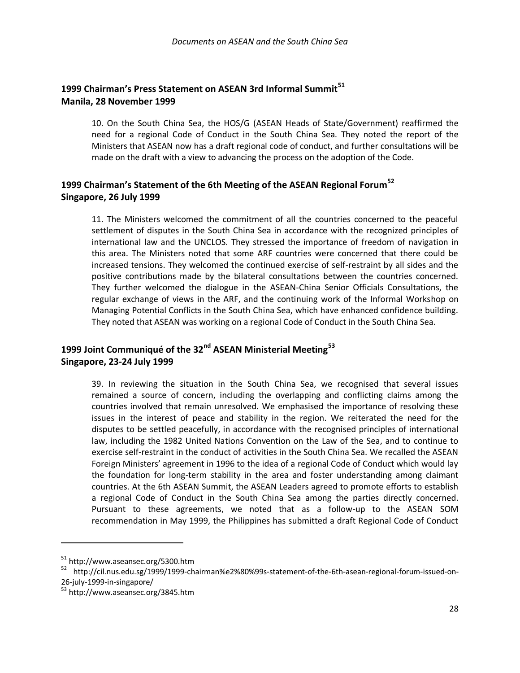### **1999 Chairman's Press Statement on ASEAN 3rd Informal Summit<sup>51</sup> Manila, 28 November 1999**

10. On the South China Sea, the HOS/G (ASEAN Heads of State/Government) reaffirmed the need for a regional Code of Conduct in the South China Sea. They noted the report of the Ministers that ASEAN now has a draft regional code of conduct, and further consultations will be made on the draft with a view to advancing the process on the adoption of the Code.

### <span id="page-27-0"></span>**1999 Chairman's Statement of the 6th Meeting of the ASEAN Regional Forum<sup>52</sup> Singapore, 26 July 1999**

11. The Ministers welcomed the commitment of all the countries concerned to the peaceful settlement of disputes in the South China Sea in accordance with the recognized principles of international law and the UNCLOS. They stressed the importance of freedom of navigation in this area. The Ministers noted that some ARF countries were concerned that there could be increased tensions. They welcomed the continued exercise of self-restraint by all sides and the positive contributions made by the bilateral consultations between the countries concerned. They further welcomed the dialogue in the ASEAN-China Senior Officials Consultations, the regular exchange of views in the ARF, and the continuing work of the Informal Workshop on Managing Potential Conflicts in the South China Sea, which have enhanced confidence building. They noted that ASEAN was working on a regional Code of Conduct in the South China Sea.

# <span id="page-27-1"></span>**1999 Joint Communiqué of the 32nd ASEAN Ministerial Meeting<sup>53</sup> Singapore, 23-24 July 1999**

39. In reviewing the situation in the South China Sea, we recognised that several issues remained a source of concern, including the overlapping and conflicting claims among the countries involved that remain unresolved. We emphasised the importance of resolving these issues in the interest of peace and stability in the region. We reiterated the need for the disputes to be settled peacefully, in accordance with the recognised principles of international law, including the 1982 United Nations Convention on the Law of the Sea, and to continue to exercise self-restraint in the conduct of activities in the South China Sea. We recalled the ASEAN Foreign Ministers' agreement in 1996 to the idea of a regional Code of Conduct which would lay the foundation for long-term stability in the area and foster understanding among claimant countries. At the 6th ASEAN Summit, the ASEAN Leaders agreed to promote efforts to establish a regional Code of Conduct in the South China Sea among the parties directly concerned. Pursuant to these agreements, we noted that as a follow-up to the ASEAN SOM recommendation in May 1999, the Philippines has submitted a draft Regional Code of Conduct

<sup>51</sup> http://www.aseansec.org/5300.htm

<sup>52</sup> http://cil.nus.edu.sg/1999/1999-chairman%e2%80%99s-statement-of-the-6th-asean-regional-forum-issued-on-26-july-1999-in-singapore/

<sup>53</sup> http://www.aseansec.org/3845.htm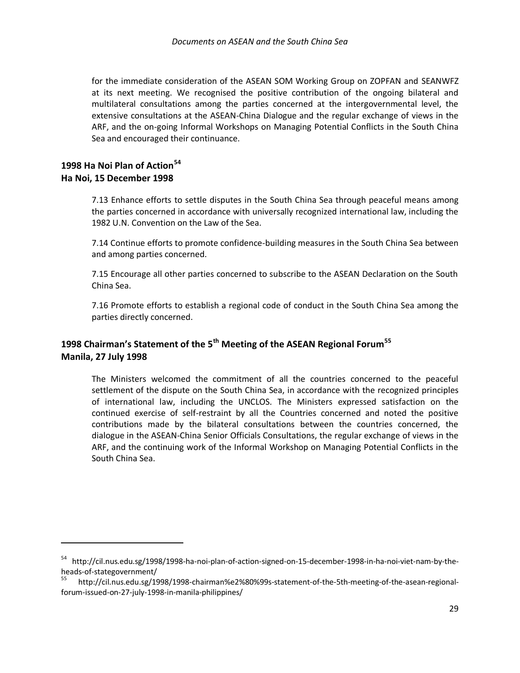for the immediate consideration of the ASEAN SOM Working Group on ZOPFAN and SEANWFZ at its next meeting. We recognised the positive contribution of the ongoing bilateral and multilateral consultations among the parties concerned at the intergovernmental level, the extensive consultations at the ASEAN-China Dialogue and the regular exchange of views in the ARF, and the on-going Informal Workshops on Managing Potential Conflicts in the South China Sea and encouraged their continuance.

### <span id="page-28-0"></span>**1998 Ha Noi Plan of Action<sup>54</sup> Ha Noi, 15 December 1998**

 $\overline{\phantom{a}}$ 

7.13 Enhance efforts to settle disputes in the South China Sea through peaceful means among the parties concerned in accordance with universally recognized international law, including the 1982 U.N. Convention on the Law of the Sea.

7.14 Continue efforts to promote confidence-building measures in the South China Sea between and among parties concerned.

7.15 Encourage all other parties concerned to subscribe to the ASEAN Declaration on the South China Sea.

7.16 Promote efforts to establish a regional code of conduct in the South China Sea among the parties directly concerned.

### <span id="page-28-1"></span>**1998 Chairman's Statement of the 5th Meeting of the ASEAN Regional Forum<sup>55</sup> Manila, 27 July 1998**

The Ministers welcomed the commitment of all the countries concerned to the peaceful settlement of the dispute on the South China Sea, in accordance with the recognized principles of international law, including the UNCLOS. The Ministers expressed satisfaction on the continued exercise of self-restraint by all the Countries concerned and noted the positive contributions made by the bilateral consultations between the countries concerned, the dialogue in the ASEAN-China Senior Officials Consultations, the regular exchange of views in the ARF, and the continuing work of the Informal Workshop on Managing Potential Conflicts in the South China Sea.

<sup>54</sup> http://cil.nus.edu.sg/1998/1998-ha-noi-plan-of-action-signed-on-15-december-1998-in-ha-noi-viet-nam-by-theheads-of-stategovernment/

<sup>55</sup> http://cil.nus.edu.sg/1998/1998-chairman%e2%80%99s-statement-of-the-5th-meeting-of-the-asean-regionalforum-issued-on-27-july-1998-in-manila-philippines/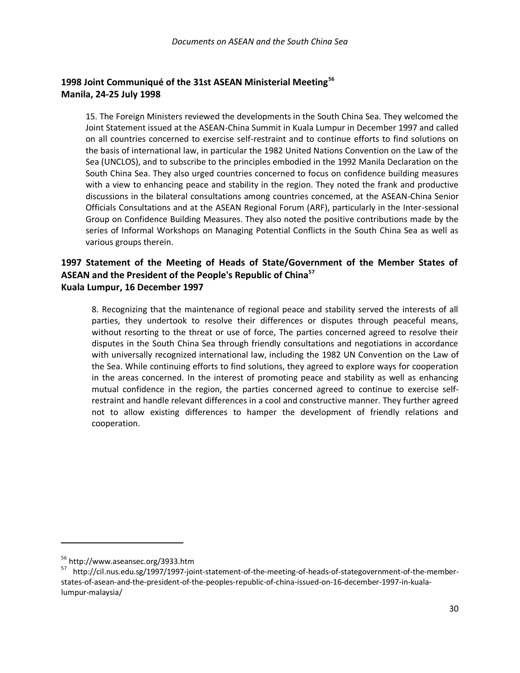### <span id="page-29-0"></span>**1998 Joint Communiqué of the 31st ASEAN Ministerial Meeting<sup>56</sup> Manila, 24-25 July 1998**

15. The Foreign Ministers reviewed the developments in the South China Sea. They welcomed the Joint Statement issued at the ASEAN-China Summit in Kuala Lumpur in December 1997 and called on all countries concerned to exercise self-restraint and to continue efforts to find solutions on the basis of international law, in particular the 1982 United Nations Convention on the Law of the Sea (UNCLOS), and to subscribe to the principles embodied in the 1992 Manila Declaration on the South China Sea. They also urged countries concerned to focus on confidence building measures with a view to enhancing peace and stability in the region. They noted the frank and productive discussions in the bilateral consultations among countries concemed, at the ASEAN-China Senior Officials Consultations and at the ASEAN Regional Forum (ARF), particularly in the Inter-sessional Group on Confidence Building Measures. They also noted the positive contributions made by the series of Informal Workshops on Managing Potential Conflicts in the South China Sea as well as various groups therein.

### <span id="page-29-1"></span>**1997 Statement of the Meeting of Heads of State/Government of the Member States of ASEAN and the President of the People's Republic of China<sup>57</sup> Kuala Lumpur, 16 December 1997**

8. Recognizing that the maintenance of regional peace and stability served the interests of all parties, they undertook to resolve their differences or disputes through peaceful means, without resorting to the threat or use of force, The parties concerned agreed to resolve their disputes in the South China Sea through friendly consultations and negotiations in accordance with universally recognized international law, including the 1982 UN Convention on the Law of the Sea. While continuing efforts to find solutions, they agreed to explore ways for cooperation in the areas concerned. In the interest of promoting peace and stability as well as enhancing mutual confidence in the region, the parties concerned agreed to continue to exercise selfrestraint and handle relevant differences in a cool and constructive manner. They further agreed not to allow existing differences to hamper the development of friendly relations and cooperation.

<span id="page-29-2"></span><sup>56</sup> http://www.aseansec.org/3933.htm

<sup>57</sup> http://cil.nus.edu.sg/1997/1997-joint-statement-of-the-meeting-of-heads-of-stategovernment-of-the-memberstates-of-asean-and-the-president-of-the-peoples-republic-of-china-issued-on-16-december-1997-in-kualalumpur-malaysia/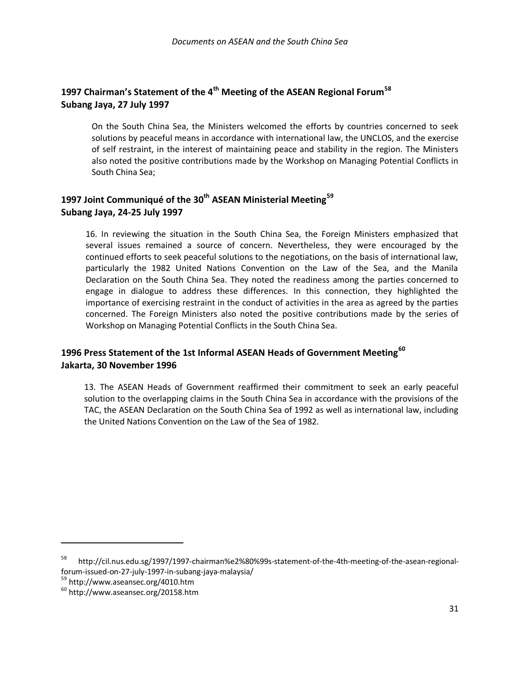# **1997 Chairman's Statement of the 4th Meeting of the ASEAN Regional Forum<sup>58</sup> Subang Jaya, 27 July 1997**

On the South China Sea, the Ministers welcomed the efforts by countries concerned to seek solutions by peaceful means in accordance with international law, the UNCLOS, and the exercise of self restraint, in the interest of maintaining peace and stability in the region. The Ministers also noted the positive contributions made by the Workshop on Managing Potential Conflicts in South China Sea;

# <span id="page-30-0"></span>**1997 Joint Communiqué of the 30th ASEAN Ministerial Meeting<sup>59</sup> Subang Jaya, 24-25 July 1997**

16. In reviewing the situation in the South China Sea, the Foreign Ministers emphasized that several issues remained a source of concern. Nevertheless, they were encouraged by the continued efforts to seek peaceful solutions to the negotiations, on the basis of international law, particularly the 1982 United Nations Convention on the Law of the Sea, and the Manila Declaration on the South China Sea. They noted the readiness among the parties concerned to engage in dialogue to address these differences. In this connection, they highlighted the importance of exercising restraint in the conduct of activities in the area as agreed by the parties concerned. The Foreign Ministers also noted the positive contributions made by the series of Workshop on Managing Potential Conflicts in the South China Sea.

### <span id="page-30-1"></span>**1996 Press Statement of the 1st Informal ASEAN Heads of Government Meeting<sup>60</sup> Jakarta, 30 November 1996**

<span id="page-30-2"></span>13. The ASEAN Heads of Government reaffirmed their commitment to seek an early peaceful solution to the overlapping claims in the South China Sea in accordance with the provisions of the TAC, the ASEAN Declaration on the South China Sea of 1992 as well as international law, including the United Nations Convention on the Law of the Sea of 1982.

http://cil.nus.edu.sg/1997/1997-chairman%e2%80%99s-statement-of-the-4th-meeting-of-the-asean-regionalforum-issued-on-27-july-1997-in-subang-jaya-malaysia/

<sup>59</sup> http://www.aseansec.org/4010.htm

<sup>60</sup> http://www.aseansec.org/20158.htm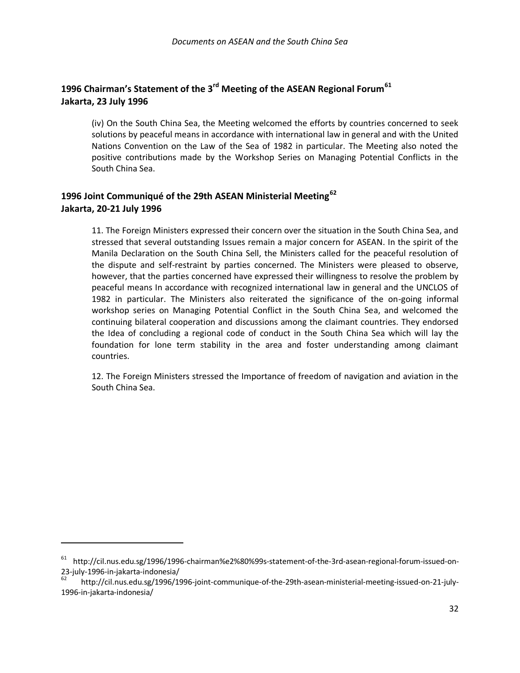# **1996 Chairman's Statement of the 3rd Meeting of the ASEAN Regional Forum<sup>61</sup> Jakarta, 23 July 1996**

(iv) On the South China Sea, the Meeting welcomed the efforts by countries concerned to seek solutions by peaceful means in accordance with international law in general and with the United Nations Convention on the Law of the Sea of 1982 in particular. The Meeting also noted the positive contributions made by the Workshop Series on Managing Potential Conflicts in the South China Sea.

### <span id="page-31-0"></span>**1996 Joint Communiqué of the 29th ASEAN Ministerial Meeting<sup>62</sup> Jakarta, 20-21 July 1996**

11. The Foreign Ministers expressed their concern over the situation in the South China Sea, and stressed that several outstanding Issues remain a major concern for ASEAN. In the spirit of the Manila Declaration on the South China Sell, the Ministers called for the peaceful resolution of the dispute and self-restraint by parties concerned. The Ministers were pleased to observe, however, that the parties concerned have expressed their willingness to resolve the problem by peaceful means In accordance with recognized international law in general and the UNCLOS of 1982 in particular. The Ministers also reiterated the significance of the on-going informal workshop series on Managing Potential Conflict in the South China Sea, and welcomed the continuing bilateral cooperation and discussions among the claimant countries. They endorsed the Idea of concluding a regional code of conduct in the South China Sea which will lay the foundation for lone term stability in the area and foster understanding among claimant countries.

<span id="page-31-1"></span>12. The Foreign Ministers stressed the Importance of freedom of navigation and aviation in the South China Sea.

<sup>61</sup> http://cil.nus.edu.sg/1996/1996-chairman%e2%80%99s-statement-of-the-3rd-asean-regional-forum-issued-on-23-july-1996-in-jakarta-indonesia/

http://cil.nus.edu.sg/1996/1996-joint-communique-of-the-29th-asean-ministerial-meeting-issued-on-21-july-1996-in-jakarta-indonesia/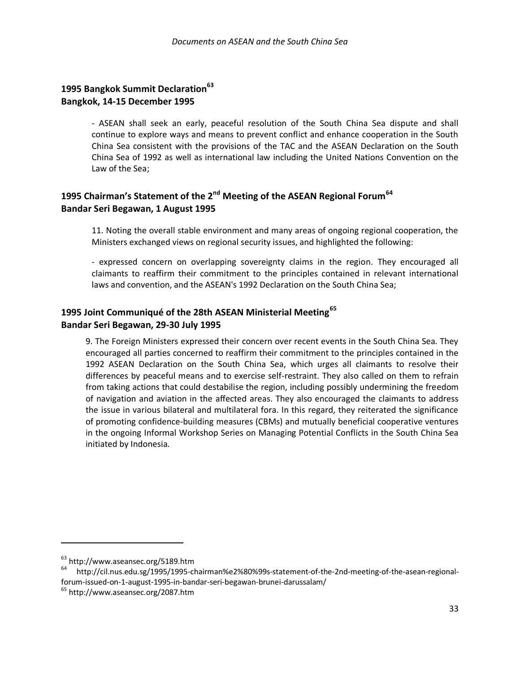### **1995 Bangkok Summit Declaration<sup>63</sup> Bangkok, 14-15 December 1995**

- ASEAN shall seek an early, peaceful resolution of the South China Sea dispute and shall continue to explore ways and means to prevent conflict and enhance cooperation in the South China Sea consistent with the provisions of the TAC and the ASEAN Declaration on the South China Sea of 1992 as well as international law including the United Nations Convention on the Law of the Sea;

# <span id="page-32-0"></span>**1995 Chairman's Statement of the 2nd Meeting of the ASEAN Regional Forum<sup>64</sup> Bandar Seri Begawan, 1 August 1995**

11. Noting the overall stable environment and many areas of ongoing regional cooperation, the Ministers exchanged views on regional security issues, and highlighted the following:

- expressed concern on overlapping sovereignty claims in the region. They encouraged all claimants to reaffirm their commitment to the principles contained in relevant international laws and convention, and the ASEAN's 1992 Declaration on the South China Sea;

## <span id="page-32-1"></span>**1995 Joint Communiqué of the 28th ASEAN Ministerial Meeting<sup>65</sup> Bandar Seri Begawan, 29-30 July 1995**

9. The Foreign Ministers expressed their concern over recent events in the South China Sea. They encouraged all parties concerned to reaffirm their commitment to the principles contained in the 1992 ASEAN Declaration on the South China Sea, which urges all claimants to resolve their differences by peaceful means and to exercise self-restraint. They also called on them to refrain from taking actions that could destabilise the region, including possibly undermining the freedom of navigation and aviation in the affected areas. They also encouraged the claimants to address the issue in various bilateral and multilateral fora. In this regard, they reiterated the significance of promoting confidence-building measures (CBMs) and mutually beneficial cooperative ventures in the ongoing Informal Workshop Series on Managing Potential Conflicts in the South China Sea initiated by Indonesia.

<span id="page-32-2"></span><sup>63</sup> http://www.aseansec.org/5189.htm

<sup>64</sup> http://cil.nus.edu.sg/1995/1995-chairman%e2%80%99s-statement-of-the-2nd-meeting-of-the-asean-regionalforum-issued-on-1-august-1995-in-bandar-seri-begawan-brunei-darussalam/

<sup>&</sup>lt;sup>65</sup> http://www.aseansec.org/2087.htm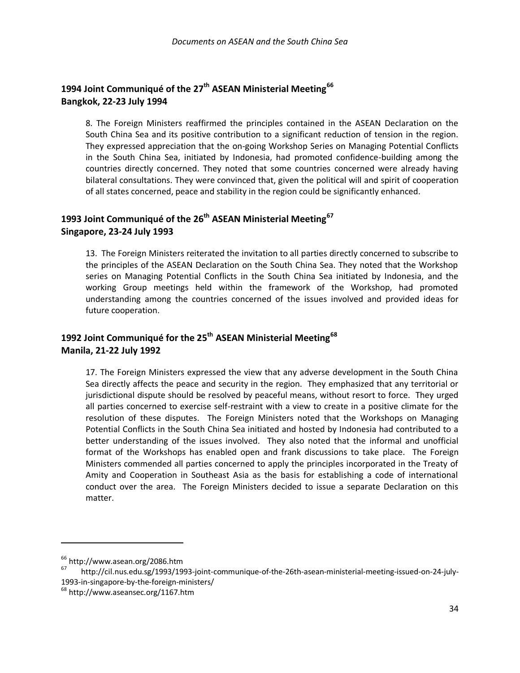## **1994 Joint Communiqué of the 27th ASEAN Ministerial Meeting<sup>66</sup> Bangkok, 22-23 July 1994**

8. The Foreign Ministers reaffirmed the principles contained in the ASEAN Declaration on the South China Sea and its positive contribution to a significant reduction of tension in the region. They expressed appreciation that the on-going Workshop Series on Managing Potential Conflicts in the South China Sea, initiated by Indonesia, had promoted confidence-building among the countries directly concerned. They noted that some countries concerned were already having bilateral consultations. They were convinced that, given the political will and spirit of cooperation of all states concerned, peace and stability in the region could be significantly enhanced.

### <span id="page-33-0"></span>**1993 Joint Communiqué of the 26th ASEAN Ministerial Meeting<sup>67</sup> Singapore, 23-24 July 1993**

13. The Foreign Ministers reiterated the invitation to all parties directly concerned to subscribe to the principles of the ASEAN Declaration on the South China Sea. They noted that the Workshop series on Managing Potential Conflicts in the South China Sea initiated by Indonesia, and the working Group meetings held within the framework of the Workshop, had promoted understanding among the countries concerned of the issues involved and provided ideas for future cooperation.

# <span id="page-33-1"></span>**1992 Joint Communiqué for the 25th ASEAN Ministerial Meeting<sup>68</sup> Manila, 21-22 July 1992**

17. The Foreign Ministers expressed the view that any adverse development in the South China Sea directly affects the peace and security in the region. They emphasized that any territorial or jurisdictional dispute should be resolved by peaceful means, without resort to force. They urged all parties concerned to exercise self-restraint with a view to create in a positive climate for the resolution of these disputes. The Foreign Ministers noted that the Workshops on Managing Potential Conflicts in the South China Sea initiated and hosted by Indonesia had contributed to a better understanding of the issues involved. They also noted that the informal and unofficial format of the Workshops has enabled open and frank discussions to take place. The Foreign Ministers commended all parties concerned to apply the principles incorporated in the Treaty of Amity and Cooperation in Southeast Asia as the basis for establishing a code of international conduct over the area. The Foreign Ministers decided to issue a separate Declaration on this matter.

<span id="page-33-2"></span><sup>66</sup> http://www.asean.org/2086.htm

<sup>67</sup> http://cil.nus.edu.sg/1993/1993-joint-communique-of-the-26th-asean-ministerial-meeting-issued-on-24-july-1993-in-singapore-by-the-foreign-ministers/

<sup>68</sup> http://www.aseansec.org/1167.htm